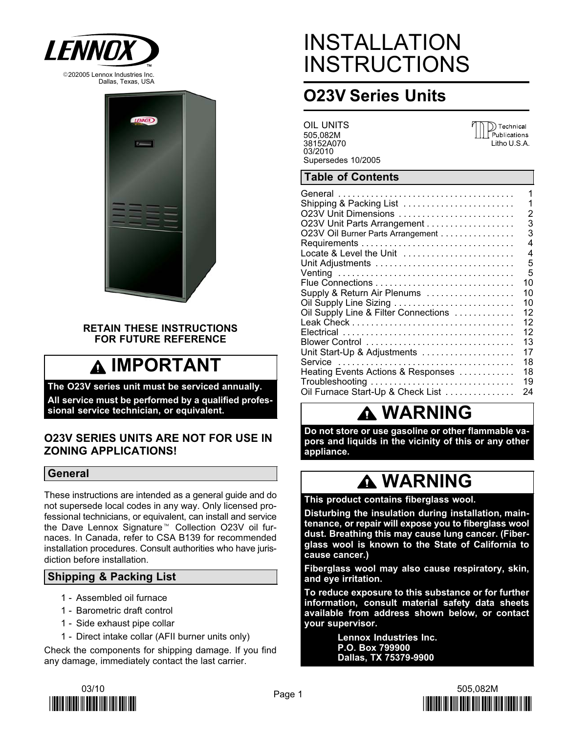



#### RETAIN THESE INSTRUCTIONS FOR FUTURE REFERENCE

# IMPORTANT

The O23V series unit must be serviced annually. All service must be performed by a qualified professional service technician, or equivalent.

#### O23V SERIES UNITS ARE NOT FOR USE IN ZONING APPLICATIONS!

#### General

These instructions are intended as a general guide and do not supersede local codes in any way. Only licensed professional technicians, or equivalent, can install and service the Dave Lennox Signature<sup>™</sup> Collection O23V oil furnaces. In Canada, refer to CSA B139 for recommended installation procedures. Consult authorities who have jurisdiction before installation.

### Shipping & Packing List

- 1 − Assembled oil furnace
- 1 − Barometric draft control
- 1 − Side exhaust pipe collar
- 1 − Direct intake collar (AFII burner units only)

Check the components for shipping damage. If you find any damage, immediately contact the last carrier.

# INSTALLATION **INSTRUCTIONS**

## O23V Series Units

OIL UNITS 505,082M 38152A070 03/2010 Supersedes 10/2005



### Table of Contents

|                                      | 1  |
|--------------------------------------|----|
| Shipping & Packing List              | 1  |
| O23V Unit Dimensions                 | 2  |
| O23V Unit Parts Arrangement          | 3  |
| O23V Oil Burner Parts Arrangement    | 3  |
|                                      | 4  |
| Locate & Level the Unit              | 4  |
|                                      | 5  |
|                                      | 5  |
|                                      | 10 |
| Supply & Return Air Plenums          | 10 |
|                                      | 10 |
| Oil Supply Line & Filter Connections | 12 |
|                                      | 12 |
|                                      | 12 |
|                                      | 13 |
| Unit Start-Up & Adjustments          | 17 |
|                                      | 18 |
| Heating Events Actions & Responses   | 18 |
| Troubleshooting                      | 19 |
| Oil Furnace Start-Up & Check List    | 24 |
|                                      |    |

## WARNING

Do not store or use gasoline or other flammable vapors and liquids in the vicinity of this or any other appliance.

# **A WARNING**

This product contains fiberglass wool.

Disturbing the insulation during installation, maintenance, or repair will expose you to fiberglass wool dust. Breathing this may cause lung cancer. (Fiberglass wool is known to the State of California to cause cancer.)

Fiberglass wool may also cause respiratory, skin, and eye irritation.

To reduce exposure to this substance or for further information, consult material safety data sheets available from address shown below, or contact your supervisor.

> Lennox Industries Inc. P.O. Box 799900 Dallas, TX 75379−9900



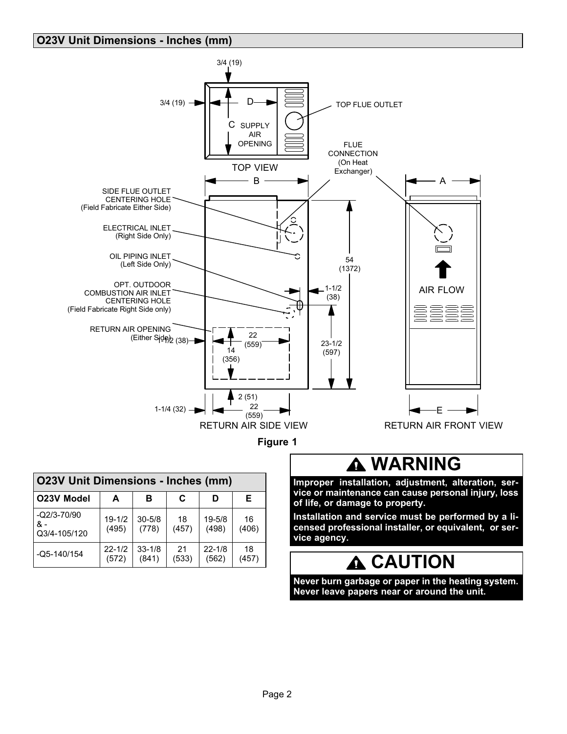#### <span id="page-1-0"></span>O23V Unit Dimensions − Inches (mm)



| <b>O23V Unit Dimensions - Inches (mm)</b> |                     |                     |             |                     |             |  |  |
|-------------------------------------------|---------------------|---------------------|-------------|---------------------|-------------|--|--|
| O23V Model                                | A                   | в                   | C           | D                   | E.          |  |  |
| $-Q2/3-70/90$<br>& -<br>Q3/4-105/120      | $19 - 1/2$<br>(495) | $30 - 5/8$<br>(778) | 18<br>(457) | $19 - 5/8$<br>(498) | 16<br>(406) |  |  |
| $-Q5 - 140/154$                           | $22 - 1/2$<br>(572) | $33 - 1/8$<br>(841) | 21<br>(533) | $22 - 1/8$<br>(562) | 18<br>(457) |  |  |

## **A WARNING**

Improper installation, adjustment, alteration, service or maintenance can cause personal injury, loss of life, or damage to property.

Installation and service must be performed by a licensed professional installer, or equivalent, or service agency.

## CAUTION

Never burn garbage or paper in the heating system. Never leave papers near or around the unit.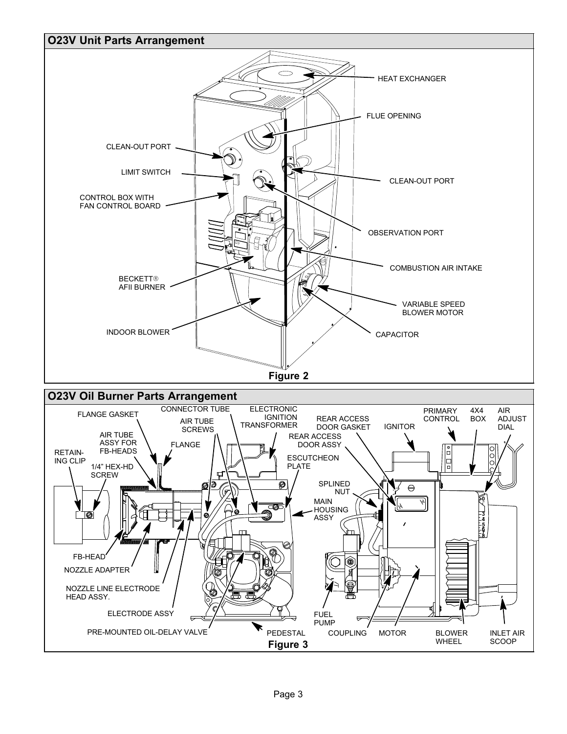<span id="page-2-0"></span>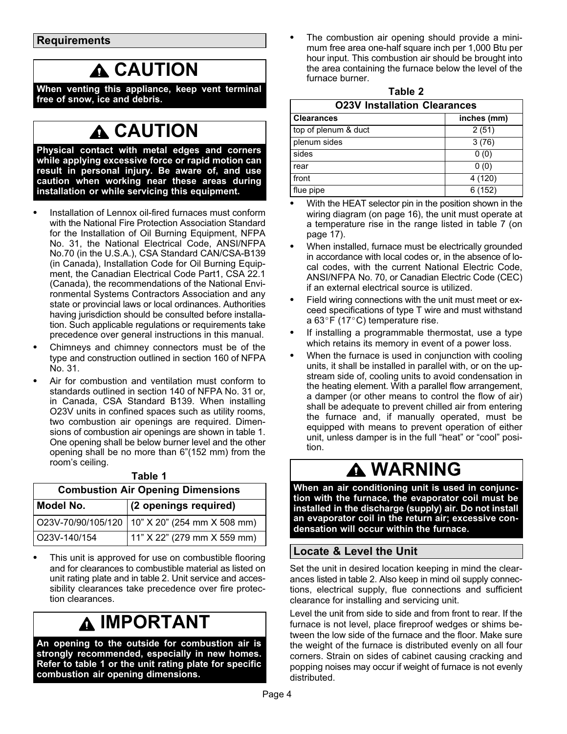# **A CAUTION**

<span id="page-3-0"></span>When venting this appliance, keep vent terminal free of snow, ice and debris.

## **A CAUTION**

Physical contact with metal edges and corners while applying excessive force or rapid motion can result in personal injury. Be aware of, and use caution when working near these areas during installation or while servicing this equipment.

- $\bullet$  Installation of Lennox oil−fired furnaces must conform with the National Fire Protection Association Standard for the Installation of Oil Burning Equipment, NFPA No. 31, the National Electrical Code, ANSI/NFPA No.70 (in the U.S.A.), CSA Standard CAN/CSA−B139 (in Canada), Installation Code for Oil Burning Equipment, the Canadian Electrical Code Part1, CSA 22.1 (Canada), the recommendations of the National Environmental Systems Contractors Association and any state or provincial laws or local ordinances. Authorities having jurisdiction should be consulted before installation. Such applicable regulations or requirements take precedence over general instructions in this manual.
- $\bullet$  Chimneys and chimney connectors must be of the type and construction outlined in section 160 of NFPA No. 31.
- $\bullet$  Air for combustion and ventilation must conform to standards outlined in section 140 of NFPA No. 31 or, in Canada, CSA Standard B139. When installing O23V units in confined spaces such as utility rooms, two combustion air openings are required. Dimensions of combustion air openings are shown in table 1. One opening shall be below burner level and the other opening shall be no more than 6"(152 mm) from the room's ceiling.

| <b>Combustion Air Opening Dimensions</b> |                                                  |  |  |  |  |  |
|------------------------------------------|--------------------------------------------------|--|--|--|--|--|
| Model No.                                | (2 openings required)                            |  |  |  |  |  |
|                                          | O23V-70/90/105/120   10" X 20" (254 mm X 508 mm) |  |  |  |  |  |
| O23V-140/154                             | 11" X 22" (279 mm X 559 mm)                      |  |  |  |  |  |

- Table 1
- $\bullet$  This unit is approved for use on combustible flooring and for clearances to combustible material as listed on unit rating plate and in table 2. Unit service and accessibility clearances take precedence over fire protection clearances.

# **A IMPORTANT**

An opening to the outside for combustion air is strongly recommended, especially in new homes. Refer to table 1 or the unit rating plate for specific combustion air opening dimensions.

 $\bullet$  The combustion air opening should provide a minimum free area one-half square inch per 1,000 Btu per hour input. This combustion air should be brought into the area containing the furnace below the level of the furnace burner.

| able |  |
|------|--|
|------|--|

| <b>O23V Installation Clearances</b> |             |  |  |  |  |
|-------------------------------------|-------------|--|--|--|--|
| <b>Clearances</b>                   | inches (mm) |  |  |  |  |
| top of plenum & duct                | 2(51)       |  |  |  |  |
| plenum sides                        | 3(76)       |  |  |  |  |
| sides                               | 0(0)        |  |  |  |  |
| rear                                | 0(0)        |  |  |  |  |
| front                               | 4 (120)     |  |  |  |  |
| flue pipe                           | 6(152)      |  |  |  |  |

- : With the HEAT selector pin in the position shown in the wiring diagram (on page [16](#page-15-0)), the unit must operate at a temperature rise in the range listed in table [7](#page-16-0) (on page [17](#page-16-0)).
- $\bullet$  When installed, furnace must be electrically grounded in accordance with local codes or, in the absence of local codes, with the current National Electric Code, ANSI/NFPA No. 70, or Canadian Electric Code (CEC) if an external electrical source is utilized.
- $\bullet$  Field wiring connections with the unit must meet or exceed specifications of type T wire and must withstand a 63 $\degree$ F (17 $\degree$ C) temperature rise.
- $\bullet$  If installing a programmable thermostat, use a type which retains its memory in event of a power loss.
- $\bullet$  When the furnace is used in conjunction with cooling units, it shall be installed in parallel with, or on the upstream side of, cooling units to avoid condensation in the heating element. With a parallel flow arrangement, a damper (or other means to control the flow of air) shall be adequate to prevent chilled air from entering the furnace and, if manually operated, must be equipped with means to prevent operation of either unit, unless damper is in the full "heat" or "cool" position.

## WARNING

When an air conditioning unit is used in conjunction with the furnace, the evaporator coil must be installed in the discharge (supply) air. Do not install an evaporator coil in the return air; excessive condensation will occur within the furnace.

### Locate & Level the Unit

Set the unit in desired location keeping in mind the clearances listed in table 2. Also keep in mind oil supply connections, electrical supply, flue connections and sufficient clearance for installing and servicing unit.

Level the unit from side to side and from front to rear. If the furnace is not level, place fireproof wedges or shims between the low side of the furnace and the floor. Make sure the weight of the furnace is distributed evenly on all four corners. Strain on sides of cabinet causing cracking and popping noises may occur if weight of furnace is not evenly distributed.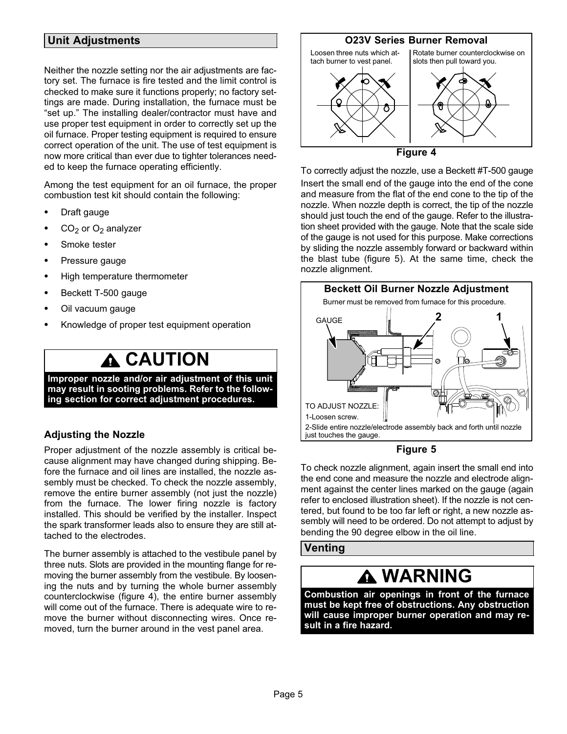#### <span id="page-4-0"></span>Unit Adjustments

Neither the nozzle setting nor the air adjustments are factory set. The furnace is fire tested and the limit control is checked to make sure it functions properly; no factory settings are made. During installation, the furnace must be -set up." The installing dealer/contractor must have and use proper test equipment in order to correctly set up the oil furnace. Proper testing equipment is required to ensure correct operation of the unit. The use of test equipment is now more critical than ever due to tighter tolerances needed to keep the furnace operating efficiently.

Among the test equipment for an oil furnace, the proper combustion test kit should contain the following:

- $\bullet$ Draft gauge
- $\bullet$  $CO<sub>2</sub>$  or  $O<sub>2</sub>$  analyzer
- $\bullet$ Smoke tester
- $\bullet$ Pressure gauge
- $\bullet$ High temperature thermometer
- $\bullet$ Beckett T−500 gauge
- $\bullet$ Oil vacuum gauge
- $\bullet$ Knowledge of proper test equipment operation

## **A CAUTION**

Improper nozzle and/or air adjustment of this unit may result in sooting problems. Refer to the following section for correct adjustment procedures.

#### Adjusting the Nozzle

Proper adjustment of the nozzle assembly is critical because alignment may have changed during shipping. Before the furnace and oil lines are installed, the nozzle assembly must be checked. To check the nozzle assembly, remove the entire burner assembly (not just the nozzle) from the furnace. The lower firing nozzle is factory installed. This should be verified by the installer. Inspect the spark transformer leads also to ensure they are still attached to the electrodes.

The burner assembly is attached to the vestibule panel by three nuts. Slots are provided in the mounting flange for removing the burner assembly from the vestibule. By loosening the nuts and by turning the whole burner assembly counterclockwise (figure 4), the entire burner assembly will come out of the furnace. There is adequate wire to remove the burner without disconnecting wires. Once removed, turn the burner around in the vest panel area.

#### O23V Series Burner Removal



Figure 4

To correctly adjust the nozzle, use a Beckett #T−500 gauge Insert the small end of the gauge into the end of the cone and measure from the flat of the end cone to the tip of the nozzle. When nozzle depth is correct, the tip of the nozzle should just touch the end of the gauge. Refer to the illustration sheet provided with the gauge. Note that the scale side of the gauge is not used for this purpose. Make corrections by sliding the nozzle assembly forward or backward within the blast tube (figure 5). At the same time, check the nozzle alignment.





To check nozzle alignment, again insert the small end into the end cone and measure the nozzle and electrode alignment against the center lines marked on the gauge (again refer to enclosed illustration sheet). If the nozzle is not centered, but found to be too far left or right, a new nozzle assembly will need to be ordered. Do not attempt to adjust by bending the 90 degree elbow in the oil line.

#### Venting

## **A WARNING**

Combustion air openings in front of the furnace must be kept free of obstructions. Any obstruction will cause improper burner operation and may result in a fire hazard.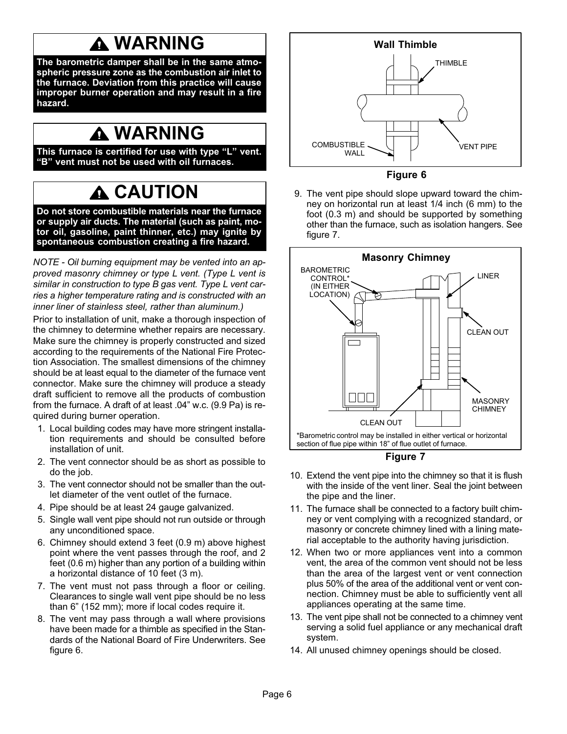# WARNING

The barometric damper shall be in the same atmospheric pressure zone as the combustion air inlet to the furnace. Deviation from this practice will cause improper burner operation and may result in a fire hazard.

## WARNING

This furnace is certified for use with type "L" vent. -B" vent must not be used with oil furnaces.

# **CAUTION**

Do not store combustible materials near the furnace or supply air ducts. The material (such as paint, motor oil, gasoline, paint thinner, etc.) may ignite by spontaneous combustion creating a fire hazard.

NOTE − Oil burning equipment may be vented into an approved masonry chimney or type L vent. (Type L vent is similar in construction to type B gas vent. Type L vent carries a higher temperature rating and is constructed with an inner liner of stainless steel, rather than aluminum.)

Prior to installation of unit, make a thorough inspection of the chimney to determine whether repairs are necessary. Make sure the chimney is properly constructed and sized according to the requirements of the National Fire Protection Association. The smallest dimensions of the chimney should be at least equal to the diameter of the furnace vent connector. Make sure the chimney will produce a steady draft sufficient to remove all the products of combustion from the furnace. A draft of at least .04" w.c. (9.9 Pa) is required during burner operation.

- 1. Local building codes may have more stringent installation requirements and should be consulted before installation of unit.
- 2. The vent connector should be as short as possible to do the job.
- 3. The vent connector should not be smaller than the outlet diameter of the vent outlet of the furnace.
- 4. Pipe should be at least 24 gauge galvanized.
- 5. Single wall vent pipe should not run outside or through any unconditioned space.
- 6. Chimney should extend 3 feet (0.9 m) above highest point where the vent passes through the roof, and 2 feet (0.6 m) higher than any portion of a building within a horizontal distance of 10 feet (3 m).
- 7. The vent must not pass through a floor or ceiling. Clearances to single wall vent pipe should be no less than 6" (152 mm); more if local codes require it.
- 8. The vent may pass through a wall where provisions have been made for a thimble as specified in the Standards of the National Board of Fire Underwriters. See figure 6.



Figure 6

9. The vent pipe should slope upward toward the chimney on horizontal run at least 1/4 inch (6 mm) to the foot (0.3 m) and should be supported by something other than the furnace, such as isolation hangers. See figure 7.



#### Figure 7

- 10. Extend the vent pipe into the chimney so that it is flush with the inside of the vent liner. Seal the joint between the pipe and the liner.
- 11. The furnace shall be connected to a factory built chimney or vent complying with a recognized standard, or masonry or concrete chimney lined with a lining material acceptable to the authority having jurisdiction.
- 12. When two or more appliances vent into a common vent, the area of the common vent should not be less than the area of the largest vent or vent connection plus 50% of the area of the additional vent or vent connection. Chimney must be able to sufficiently vent all appliances operating at the same time.
- 13. The vent pipe shall not be connected to a chimney vent serving a solid fuel appliance or any mechanical draft system.
- 14. All unused chimney openings should be closed.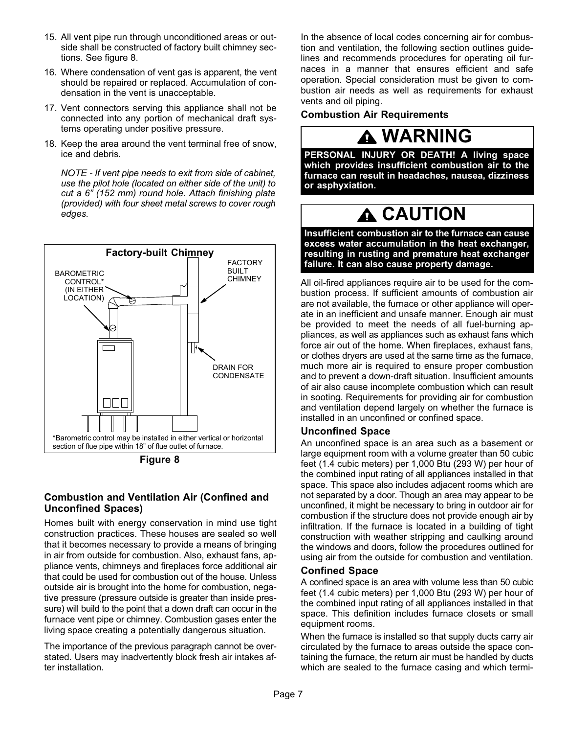- <span id="page-6-0"></span>15. All vent pipe run through unconditioned areas or outside shall be constructed of factory built chimney sections. See figure 8.
- 16. Where condensation of vent gas is apparent, the vent should be repaired or replaced. Accumulation of condensation in the vent is unacceptable.
- 17. Vent connectors serving this appliance shall not be connected into any portion of mechanical draft systems operating under positive pressure.
- 18. Keep the area around the vent terminal free of snow, ice and debris.

NOTE − If vent pipe needs to exit from side of cabinet, use the pilot hole (located on either side of the unit) to cut a 6" (152 mm) round hole. Attach finishing plate (provided) with four sheet metal screws to cover rough edges.



Figure 8

#### Combustion and Ventilation Air (Confined and Unconfined Spaces)

Homes built with energy conservation in mind use tight construction practices. These houses are sealed so well that it becomes necessary to provide a means of bringing in air from outside for combustion. Also, exhaust fans, appliance vents, chimneys and fireplaces force additional air that could be used for combustion out of the house. Unless outside air is brought into the home for combustion, negative pressure (pressure outside is greater than inside pressure) will build to the point that a down draft can occur in the furnace vent pipe or chimney. Combustion gases enter the living space creating a potentially dangerous situation.

The importance of the previous paragraph cannot be overstated. Users may inadvertently block fresh air intakes after installation.

In the absence of local codes concerning air for combustion and ventilation, the following section outlines guidelines and recommends procedures for operating oil furnaces in a manner that ensures efficient and safe operation. Special consideration must be given to combustion air needs as well as requirements for exhaust vents and oil piping.

#### **Combustion Air Requirements**

## **A WARNING**

PERSONAL INJURY OR DEATH! A living space which provides insufficient combustion air to the furnace can result in headaches, nausea, dizziness or asphyxiation.

# **A CAUTION**

Insufficient combustion air to the furnace can cause excess water accumulation in the heat exchanger, resulting in rusting and premature heat exchanger failure. It can also cause property damage.

All oil-fired appliances require air to be used for the combustion process. If sufficient amounts of combustion air are not available, the furnace or other appliance will operate in an inefficient and unsafe manner. Enough air must be provided to meet the needs of all fuel-burning appliances, as well as appliances such as exhaust fans which force air out of the home. When fireplaces, exhaust fans, or clothes dryers are used at the same time as the furnace, much more air is required to ensure proper combustion and to prevent a down-draft situation. Insufficient amounts of air also cause incomplete combustion which can result in sooting. Requirements for providing air for combustion and ventilation depend largely on whether the furnace is installed in an unconfined or confined space.

#### Unconfined Space

An unconfined space is an area such as a basement or large equipment room with a volume greater than 50 cubic feet (1.4 cubic meters) per 1,000 Btu (293 W) per hour of the combined input rating of all appliances installed in that space. This space also includes adjacent rooms which are not separated by a door. Though an area may appear to be unconfined, it might be necessary to bring in outdoor air for combustion if the structure does not provide enough air by infiltration. If the furnace is located in a building of tight construction with weather stripping and caulking around the windows and doors, follow the procedures outlined for using air from the outside for combustion and ventilation.

#### Confined Space

A confined space is an area with volume less than 50 cubic feet (1.4 cubic meters) per 1,000 Btu (293 W) per hour of the combined input rating of all appliances installed in that space. This definition includes furnace closets or small equipment rooms.

When the furnace is installed so that supply ducts carry air circulated by the furnace to areas outside the space containing the furnace, the return air must be handled by ducts which are sealed to the furnace casing and which termi-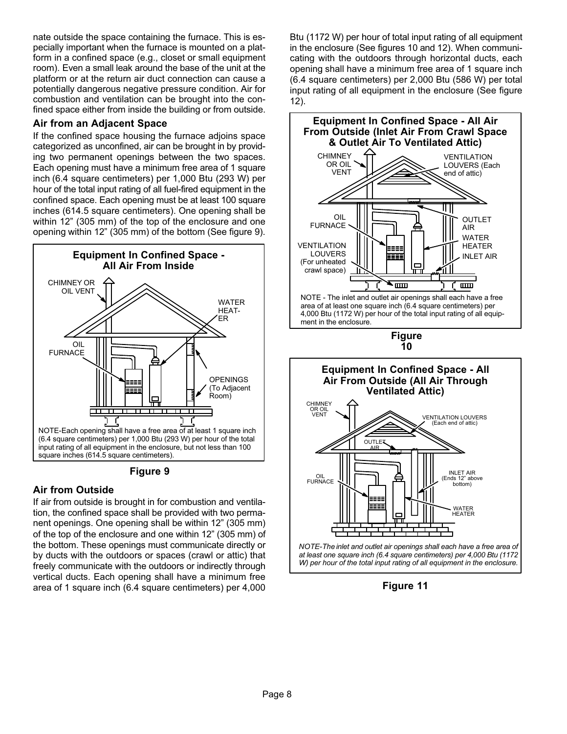nate outside the space containing the furnace. This is especially important when the furnace is mounted on a platform in a confined space (e.g., closet or small equipment room). Even a small leak around the base of the unit at the platform or at the return air duct connection can cause a potentially dangerous negative pressure condition. Air for combustion and ventilation can be brought into the confined space either from inside the building or from outside.

### Air from an Adjacent Space

If the confined space housing the furnace adjoins space categorized as unconfined, air can be brought in by providing two permanent openings between the two spaces. Each opening must have a minimum free area of 1 square inch (6.4 square centimeters) per 1,000 Btu (293 W) per hour of the total input rating of all fuel-fired equipment in the confined space. Each opening must be at least 100 square inches (614.5 square centimeters). One opening shall be within 12" (305 mm) of the top of the enclosure and one opening within 12" (305 mm) of the bottom (See figure 9).





### Air from Outside

If air from outside is brought in for combustion and ventilation, the confined space shall be provided with two permanent openings. One opening shall be within 12" (305 mm) of the top of the enclosure and one within 12" (305 mm) of the bottom. These openings must communicate directly or by ducts with the outdoors or spaces (crawl or attic) that freely communicate with the outdoors or indirectly through vertical ducts. Each opening shall have a minimum free area of 1 square inch (6.4 square centimeters) per 4,000

Btu (1172 W) per hour of total input rating of all equipment in the enclosure (See figures 10 and [12](#page-8-0)). When communicating with the outdoors through horizontal ducts, each opening shall have a minimum free area of 1 square inch (6.4 square centimeters) per 2,000 Btu (586 W) per total input rating of all equipment in the enclosure (See figure [12](#page-8-0)).



Figure 11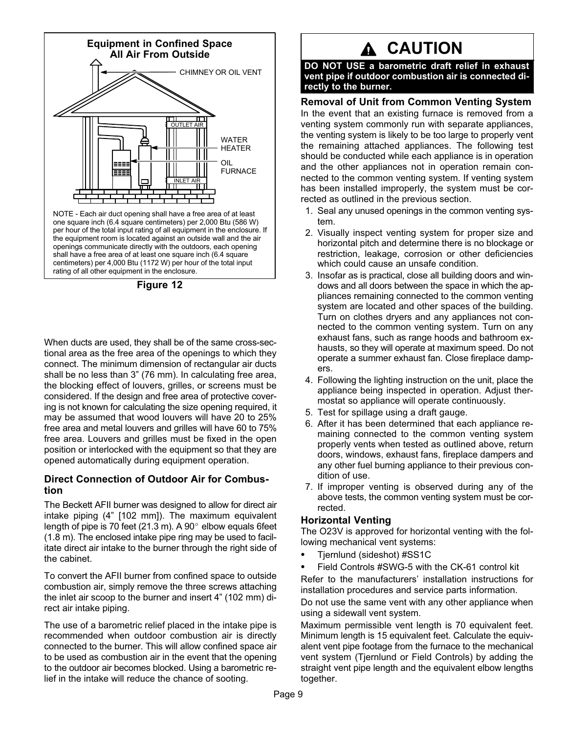<span id="page-8-0"></span>

Figure 12

When ducts are used, they shall be of the same cross−sectional area as the free area of the openings to which they connect. The minimum dimension of rectangular air ducts shall be no less than 3" (76 mm). In calculating free area, the blocking effect of louvers, grilles, or screens must be considered. If the design and free area of protective covering is not known for calculating the size opening required, it may be assumed that wood louvers will have 20 to 25% free area and metal louvers and grilles will have 60 to 75% free area. Louvers and grilles must be fixed in the open position or interlocked with the equipment so that they are opened automatically during equipment operation.

#### Direct Connection of Outdoor Air for Combustion

The Beckett AFII burner was designed to allow for direct air intake piping (4" [102 mm]). The maximum equivalent length of pipe is 70 feet (21.3 m). A 90 $^{\circ}$  elbow equals 6feet (1.8 m). The enclosed intake pipe ring may be used to facilitate direct air intake to the burner through the right side of the cabinet.

To convert the AFII burner from confined space to outside combustion air, simply remove the three screws attaching the inlet air scoop to the burner and insert 4" (102 mm) direct air intake piping.

The use of a barometric relief placed in the intake pipe is recommended when outdoor combustion air is directly connected to the burner. This will allow confined space air to be used as combustion air in the event that the opening to the outdoor air becomes blocked. Using a barometric relief in the intake will reduce the chance of sooting.

# A CAUTION

DO NOT USE a barometric draft relief in exhaust vent pipe if outdoor combustion air is connected directly to the burner.

#### Removal of Unit from Common Venting System

In the event that an existing furnace is removed from a venting system commonly run with separate appliances, the venting system is likely to be too large to properly vent the remaining attached appliances. The following test should be conducted while each appliance is in operation and the other appliances not in operation remain connected to the common venting system. If venting system has been installed improperly, the system must be corrected as outlined in the previous section.

- 1. Seal any unused openings in the common venting system.
- 2. Visually inspect venting system for proper size and horizontal pitch and determine there is no blockage or restriction, leakage, corrosion or other deficiencies which could cause an unsafe condition.
- 3. Insofar as is practical, close all building doors and windows and all doors between the space in which the appliances remaining connected to the common venting system are located and other spaces of the building. Turn on clothes dryers and any appliances not connected to the common venting system. Turn on any exhaust fans, such as range hoods and bathroom exhausts, so they will operate at maximum speed. Do not operate a summer exhaust fan. Close fireplace dampers.
- 4. Following the lighting instruction on the unit, place the appliance being inspected in operation. Adjust thermostat so appliance will operate continuously.
- 5. Test for spillage using a draft gauge.
- 6. After it has been determined that each appliance remaining connected to the common venting system properly vents when tested as outlined above, return doors, windows, exhaust fans, fireplace dampers and any other fuel burning appliance to their previous condition of use.
- 7. If improper venting is observed during any of the above tests, the common venting system must be corrected.

#### Horizontal Venting

The O23V is approved for horizontal venting with the following mechanical vent systems:

- $\bullet$ Tjernlund (sideshot) #SS1C
- $\bullet$  Field Controls #SWG−5 with the CK−61 control kit Refer to the manufacturers' installation instructions for installation procedures and service parts information.

Do not use the same vent with any other appliance when using a sidewall vent system.

Maximum permissible vent length is 70 equivalent feet. Minimum length is 15 equivalent feet. Calculate the equivalent vent pipe footage from the furnace to the mechanical vent system (Tjernlund or Field Controls) by adding the straight vent pipe length and the equivalent elbow lengths together.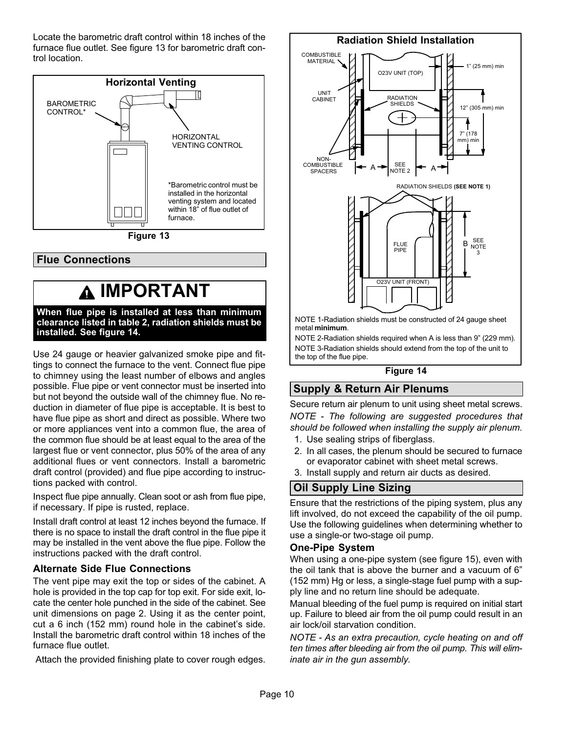<span id="page-9-0"></span>Locate the barometric draft control within 18 inches of the furnace flue outlet. See figure 13 for barometric draft control location.



### Flue Connections

## IMPORTANT

When flue pipe is installed at less than minimum clearance listed in table 2, radiation shields must be installed. See figure 14.

Use 24 gauge or heavier galvanized smoke pipe and fittings to connect the furnace to the vent. Connect flue pipe to chimney using the least number of elbows and angles possible. Flue pipe or vent connector must be inserted into but not beyond the outside wall of the chimney flue. No reduction in diameter of flue pipe is acceptable. It is best to have flue pipe as short and direct as possible. Where two or more appliances vent into a common flue, the area of the common flue should be at least equal to the area of the largest flue or vent connector, plus 50% of the area of any additional flues or vent connectors. Install a barometric draft control (provided) and flue pipe according to instructions packed with control.

Inspect flue pipe annually. Clean soot or ash from flue pipe, if necessary. If pipe is rusted, replace.

Install draft control at least 12 inches beyond the furnace. If there is no space to install the draft control in the flue pipe it may be installed in the vent above the flue pipe. Follow the instructions packed with the draft control.

#### Alternate Side Flue Connections

The vent pipe may exit the top or sides of the cabinet. A hole is provided in the top cap for top exit. For side exit, locate the center hole punched in the side of the cabinet. See unit dimensions on page [2](#page-1-0). Using it as the center point, cut a 6 inch (152 mm) round hole in the cabinet's side. Install the barometric draft control within 18 inches of the furnace flue outlet.

Attach the provided finishing plate to cover rough edges.



#### Figure 14

### Supply & Return Air Plenums

Secure return air plenum to unit using sheet metal screws. NOTE − The following are suggested procedures that should be followed when installing the supply air plenum.

- 1. Use sealing strips of fiberglass.
- 2. In all cases, the plenum should be secured to furnace or evaporator cabinet with sheet metal screws.
- 3. Install supply and return air ducts as desired.

### Oil Supply Line Sizing

Ensure that the restrictions of the piping system, plus any lift involved, do not exceed the capability of the oil pump. Use the following guidelines when determining whether to use a single−or two−stage oil pump.

#### One−Pipe System

When using a one−pipe system (see figure [15](#page-10-0)), even with the oil tank that is above the burner and a vacuum of 6" (152 mm) Hg or less, a single−stage fuel pump with a supply line and no return line should be adequate.

Manual bleeding of the fuel pump is required on initial start up. Failure to bleed air from the oil pump could result in an air lock/oil starvation condition.

NOTE − As an extra precaution, cycle heating on and off ten times after bleeding air from the oil pump. This will eliminate air in the gun assembly.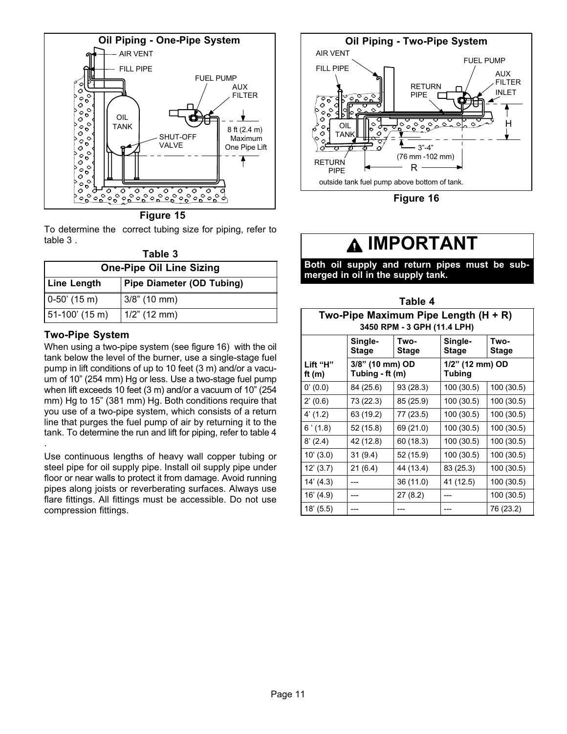<span id="page-10-0"></span>

**Figure 15** 

To determine the correct tubing size for piping, refer to table 3 .

| Table 3                         |                                  |  |  |  |  |
|---------------------------------|----------------------------------|--|--|--|--|
| <b>One-Pipe Oil Line Sizing</b> |                                  |  |  |  |  |
| <b>Line Length</b>              | <b>Pipe Diameter (OD Tubing)</b> |  |  |  |  |
| $0-50'$ (15 m)                  | $3/8$ " (10 mm)                  |  |  |  |  |
| 51-100' (15 m)                  | $1/2$ " (12 mm)                  |  |  |  |  |

#### Two−Pipe System

.

When using a two−pipe system (see figure 16) with the oil tank below the level of the burner, use a single−stage fuel pump in lift conditions of up to 10 feet (3 m) and/or a vacuum of 10" (254 mm) Hg or less. Use a two−stage fuel pump when lift exceeds 10 feet (3 m) and/or a vacuum of 10" (254 mm) Hg to 15" (381 mm) Hg. Both conditions require that you use of a two−pipe system, which consists of a return line that purges the fuel pump of air by returning it to the tank. To determine the run and lift for piping, refer to table 4

Use continuous lengths of heavy wall copper tubing or steel pipe for oil supply pipe. Install oil supply pipe under floor or near walls to protect it from damage. Avoid running pipes along joists or reverberating surfaces. Always use flare fittings. All fittings must be accessible. Do not use compression fittings.



Figure 16

### **A IMPORTANT**

Both oil supply and return pipes must be submerged in oil in the supply tank.

| Table 4                                                                                            |                                    |           |                                  |            |  |  |  |
|----------------------------------------------------------------------------------------------------|------------------------------------|-----------|----------------------------------|------------|--|--|--|
| Two-Pipe Maximum Pipe Length (H + R)<br>3450 RPM - 3 GPH (11.4 LPH)                                |                                    |           |                                  |            |  |  |  |
| Single-<br>Two-<br>Single-<br>Two-<br><b>Stage</b><br><b>Stage</b><br><b>Stage</b><br><b>Stage</b> |                                    |           |                                  |            |  |  |  |
| Lift "H"<br>ft $(m)$                                                                               | 3/8" (10 mm) OD<br>Tubing - ft (m) |           | 1/2" (12 mm) OD<br><b>Tubing</b> |            |  |  |  |
| 0'(0.0)                                                                                            | 84 (25.6)                          | 93 (28.3) | 100 (30.5)                       | 100 (30.5) |  |  |  |
| 2'(0.6)                                                                                            | 73 (22.3)                          | 85 (25.9) | 100 (30.5)                       | 100 (30.5) |  |  |  |
| 4' (1.2)                                                                                           | 63 (19.2)                          | 77 (23.5) | 100 (30.5)                       | 100 (30.5) |  |  |  |
| 6'(1.8)                                                                                            | 52 (15.8)                          | 69 (21.0) | 100 (30.5)                       | 100 (30.5) |  |  |  |
| 8' (2.4)                                                                                           | 42 (12.8)                          | 60 (18.3) | 100 (30.5)                       | 100 (30.5) |  |  |  |
| 10' (3.0)                                                                                          | 31(9.4)                            | 52 (15.9) | 100 (30.5)                       | 100 (30.5) |  |  |  |
| 12' (3.7)                                                                                          | 21(6.4)                            | 44 (13.4) | 83 (25.3)                        | 100 (30.5) |  |  |  |
| 14' (4.3)                                                                                          |                                    | 36 (11.0) | 41 (12.5)                        | 100 (30.5) |  |  |  |
| 16' (4.9)                                                                                          |                                    | 27 (8.2)  |                                  | 100 (30.5) |  |  |  |
| 18' (5.5)                                                                                          |                                    |           |                                  | 76 (23.2)  |  |  |  |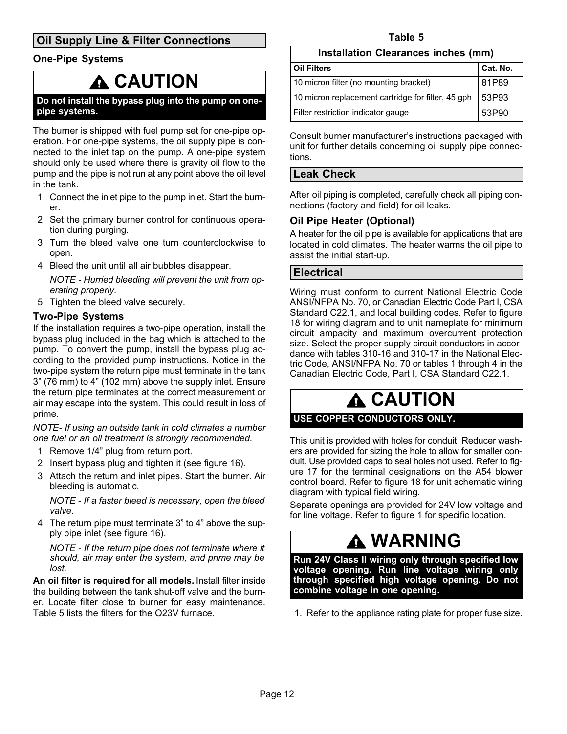### <span id="page-11-0"></span>Oil Supply Line & Filter Connections

#### One−Pipe Systems

## **A CAUTION**

Do not install the bypass plug into the pump on one− pipe systems.

The burner is shipped with fuel pump set for one−pipe operation. For one−pipe systems, the oil supply pipe is connected to the inlet tap on the pump. A one−pipe system should only be used where there is gravity oil flow to the pump and the pipe is not run at any point above the oil level in the tank.

- 1. Connect the inlet pipe to the pump inlet. Start the burner.
- 2. Set the primary burner control for continuous operation during purging.
- 3. Turn the bleed valve one turn counterclockwise to open.
- 4. Bleed the unit until all air bubbles disappear.

NOTE − Hurried bleeding will prevent the unit from operating properly.

5. Tighten the bleed valve securely.

#### Two−Pipe Systems

If the installation requires a two−pipe operation, install the bypass plug included in the bag which is attached to the pump. To convert the pump, install the bypass plug according to the provided pump instructions. Notice in the two-pipe system the return pipe must terminate in the tank 3" (76 mm) to 4" (102 mm) above the supply inlet. Ensure the return pipe terminates at the correct measurement or air may escape into the system. This could result in loss of prime.

NOTE− If using an outside tank in cold climates a number one fuel or an oil treatment is strongly recommended.

- 1. Remove 1/4" plug from return port.
- 2. Insert bypass plug and tighten it (see figure [16](#page-10-0)).
- 3. Attach the return and inlet pipes. Start the burner. Air bleeding is automatic.

NOTE − If a faster bleed is necessary, open the bleed valve.

4. The return pipe must terminate 3" to 4" above the supply pipe inlet (see figure [16](#page-10-0)).

NOTE − If the return pipe does not terminate where it should, air may enter the system, and prime may be lost.

An oil filter is required for all models. Install filter inside the building between the tank shut-off valve and the burner. Locate filter close to burner for easy maintenance. Table 5 lists the filters for the O23V furnace.

#### Installation Clearances inches (mm)

| l Oil Filters                                      | Cat. No. |
|----------------------------------------------------|----------|
| 10 micron filter (no mounting bracket)             | 81P89    |
| 10 micron replacement cartridge for filter, 45 gph | 53P93    |
| Filter restriction indicator gauge                 | 53P90    |

Consult burner manufacturer's instructions packaged with unit for further details concerning oil supply pipe connections.

#### Leak Check

After oil piping is completed, carefully check all piping connections (factory and field) for oil leaks.

#### Oil Pipe Heater (Optional)

A heater for the oil pipe is available for applications that are located in cold climates. The heater warms the oil pipe to assist the initial start−up.

#### **Electrical**

Wiring must conform to current National Electric Code ANSI/NFPA No. 70, or Canadian Electric Code Part I, CSA Standard C22.1, and local building codes. Refer to figure [18](#page-15-0) for wiring diagram and to unit nameplate for minimum circuit ampacity and maximum overcurrent protection size. Select the proper supply circuit conductors in accordance with tables 310−16 and 310−17 in the National Electric Code, ANSI/NFPA No. 70 or tables 1 through 4 in the Canadian Electric Code, Part I, CSA Standard C22.1.

## CAUTION

#### USE COPPER CONDUCTORS ONLY.

This unit is provided with holes for conduit. Reducer washers are provided for sizing the hole to allow for smaller conduit. Use provided caps to seal holes not used. Refer to figure [17](#page-12-0) for the terminal designations on the A54 blower control board. Refer to figure [18](#page-15-0) for unit schematic wiring diagram with typical field wiring.

Separate openings are provided for 24V low voltage and for line voltage. Refer to figure [1](#page-1-0) for specific location.

## WARNING

Run 24V Class II wiring only through specified low voltage opening. Run line voltage wiring only through specified high voltage opening. Do not combine voltage in one opening.

1. Refer to the appliance rating plate for proper fuse size.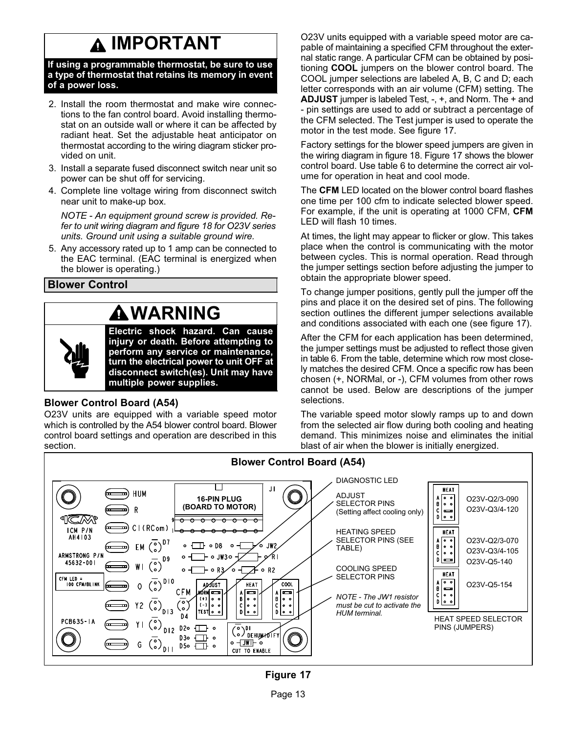# IMPORTANT

<span id="page-12-0"></span>If using a programmable thermostat, be sure to use a type of thermostat that retains its memory in event of a power loss.

- 2. Install the room thermostat and make wire connections to the fan control board. Avoid installing thermostat on an outside wall or where it can be affected by radiant heat. Set the adjustable heat anticipator on thermostat according to the wiring diagram sticker provided on unit.
- 3. Install a separate fused disconnect switch near unit so power can be shut off for servicing.
- 4. Complete line voltage wiring from disconnect switch near unit to make-up box.

NOTE − An equipment ground screw is provided. Refer to unit wiring diagram and figure [18](#page-15-0) for O23V series units. Ground unit using a suitable ground wire.

5. Any accessory rated up to 1 amp can be connected to the EAC terminal. (EAC terminal is energized when the blower is operating.)

Blower Control

# **AWARNING**

Electric shock hazard. Can cause injury or death. Before attempting to perform any service or maintenance, turn the electrical power to unit OFF at disconnect switch(es). Unit may have multiple power supplies.

### Blower Control Board (A54)

O23V units are equipped with a variable speed motor which is controlled by the A54 blower control board. Blower control board settings and operation are described in this section.

O23V units equipped with a variable speed motor are capable of maintaining a specified CFM throughout the external static range. A particular CFM can be obtained by positioning COOL jumpers on the blower control board. The COOL jumper selections are labeled A, B, C and D; each letter corresponds with an air volume (CFM) setting. The ADJUST jumper is labeled Test, −, +, and Norm. The + and − pin settings are used to add or subtract a percentage of the CFM selected. The Test jumper is used to operate the motor in the test mode. See figure 17.

Factory settings for the blower speed jumpers are given in the wiring diagram in figure [18](#page-15-0). Figure 17 shows the blower control board. Use table [6](#page-14-0) to determine the correct air volume for operation in heat and cool mode.

The CFM LED located on the blower control board flashes one time per 100 cfm to indicate selected blower speed. For example, if the unit is operating at 1000 CFM, CFM LED will flash 10 times.

At times, the light may appear to flicker or glow. This takes place when the control is communicating with the motor between cycles. This is normal operation. Read through the jumper settings section before adjusting the jumper to obtain the appropriate blower speed.

To change jumper positions, gently pull the jumper off the pins and place it on the desired set of pins. The following section outlines the different jumper selections available and conditions associated with each one (see figure 17).

After the CFM for each application has been determined, the jumper settings must be adjusted to reflect those given in table [6](#page-14-0). From the table, determine which row most closely matches the desired CFM. Once a specific row has been chosen (+, NORMal, or −), CFM volumes from other rows cannot be used. Below are descriptions of the jumper selections.

The variable speed motor slowly ramps up to and down from the selected air flow during both cooling and heating demand. This minimizes noise and eliminates the initial blast of air when the blower is initially energized.



### Figure 17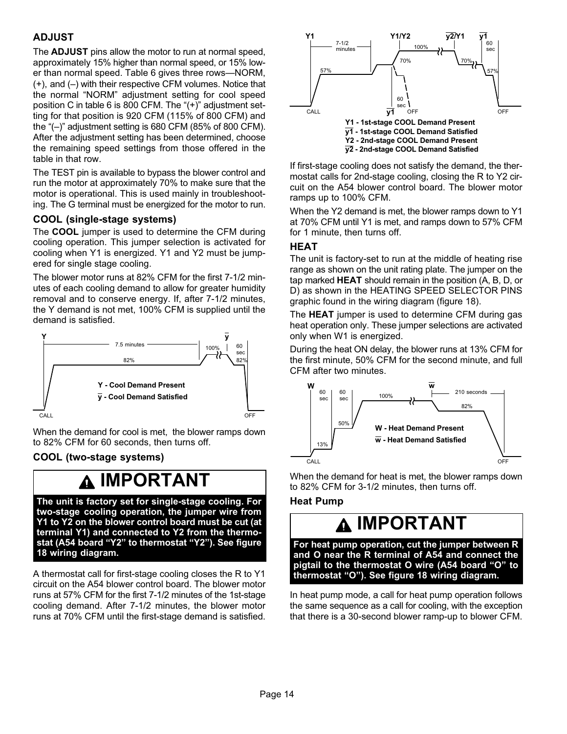### ADJUST

The ADJUST pins allow the motor to run at normal speed, approximately 15% higher than normal speed, or 15% low-er than normal speed. Table [6](#page-14-0) gives three rows-NORM, (+), and (–) with their respective CFM volumes. Notice that the normal "NORM" adjustment setting for cool speed position C in table [6](#page-14-0) is 800 CFM. The "(+)" adjustment setting for that position is 920 CFM (115% of 800 CFM) and the "(–)" adjustment setting is 680 CFM (85% of 800 CFM). After the adjustment setting has been determined, choose the remaining speed settings from those offered in the table in that row.

The TEST pin is available to bypass the blower control and run the motor at approximately 70% to make sure that the motor is operational. This is used mainly in troubleshooting. The G terminal must be energized for the motor to run.

#### COOL (single-stage systems)

The COOL jumper is used to determine the CFM during cooling operation. This jumper selection is activated for cooling when Y1 is energized. Y1 and Y2 must be jumpered for single stage cooling.

The blower motor runs at 82% CFM for the first 7−1/2 minutes of each cooling demand to allow for greater humidity removal and to conserve energy. If, after 7−1/2 minutes, the Y demand is not met, 100% CFM is supplied until the demand is satisfied.



When the demand for cool is met, the blower ramps down to 82% CFM for 60 seconds, then turns off.

#### COOL (two-stage systems)

### IMPORTANT

The unit is factory set for single−stage cooling. For two−stage cooling operation, the jumper wire from Y1 to Y2 on the blower control board must be cut (at terminal Y1) and connected to Y2 from the thermostat (A54 board "Y2" to thermostat "Y2"). See figure [18](#page-15-0) wiring diagram.

A thermostat call for first-stage cooling closes the R to Y1 circuit on the A54 blower control board. The blower motor runs at 57% CFM for the first 7−1/2 minutes of the 1st−stage cooling demand. After 7−1/2 minutes, the blower motor runs at 70% CFM until the first−stage demand is satisfied.



If first−stage cooling does not satisfy the demand, the thermostat calls for 2nd-stage cooling, closing the R to Y2 circuit on the A54 blower control board. The blower motor ramps up to 100% CFM.

When the Y2 demand is met, the blower ramps down to Y1 at 70% CFM until Y1 is met, and ramps down to 57% CFM for 1 minute, then turns off.

#### HEAT

The unit is factory−set to run at the middle of heating rise range as shown on the unit rating plate. The jumper on the tap marked HEAT should remain in the position (A, B, D, or D) as shown in the HEATING SPEED SELECTOR PINS graphic found in the wiring diagram (figure [18\)](#page-15-0).

The HEAT jumper is used to determine CFM during gas heat operation only. These jumper selections are activated only when W1 is energized.

During the heat ON delay, the blower runs at 13% CFM for the first minute, 50% CFM for the second minute, and full CFM after two minutes.



When the demand for heat is met, the blower ramps down to 82% CFM for 3−1/2 minutes, then turns off.

#### Heat Pump

## IMPORTANT

For heat pump operation, cut the jumper between R and O near the R terminal of A54 and connect the pigtail to the thermostat O wire (A54 board "O" to thermostat "O"). See figure [18](#page-15-0) wiring diagram.

In heat pump mode, a call for heat pump operation follows the same sequence as a call for cooling, with the exception that there is a 30−second blower ramp−up to blower CFM.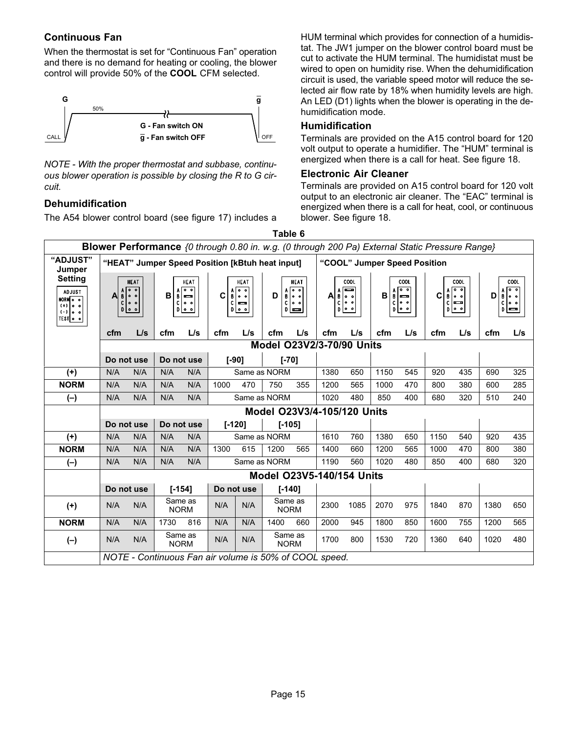### <span id="page-14-0"></span>Continuous Fan

When the thermostat is set for "Continuous Fan" operation and there is no demand for heating or cooling, the blower control will provide 50% of the COOL CFM selected.



NOTE − With the proper thermostat and subbase, continuous blower operation is possible by closing the R to G circuit.

#### Dehumidification

The A54 blower control board (see figure [17](#page-12-0)) includes a

HUM terminal which provides for connection of a humidistat. The JW1 jumper on the blower control board must be cut to activate the HUM terminal. The humidistat must be wired to open on humidity rise. When the dehumidification circuit is used, the variable speed motor will reduce the selected air flow rate by 18% when humidity levels are high. An LED (D1) lights when the blower is operating in the dehumidification mode.

#### Humidification

Terminals are provided on the A15 control board for 120 volt output to operate a humidifier. The "HUM" terminal is energized when there is a call for heat. See figure [18](#page-15-0).

#### Electronic Air Cleaner

Terminals are provided on A15 control board for 120 volt output to an electronic air cleaner. The "EAC" terminal is energized when there is a call for heat, cool, or continuous blower. See figure [18.](#page-15-0)

|                                                                      | <b>Blower Performance</b> {0 through 0.80 in. w.g. (0 through 200 Pa) External Static Pressure Range} |                                                        |            |                                                                            |                                                 |                                   |                                                                                                                       |      |                                                      |        |                                                                         |        |                                                             |                             |                                                                    |
|----------------------------------------------------------------------|-------------------------------------------------------------------------------------------------------|--------------------------------------------------------|------------|----------------------------------------------------------------------------|-------------------------------------------------|-----------------------------------|-----------------------------------------------------------------------------------------------------------------------|------|------------------------------------------------------|--------|-------------------------------------------------------------------------|--------|-------------------------------------------------------------|-----------------------------|--------------------------------------------------------------------|
| "ADJUST"<br>Jumper                                                   |                                                                                                       |                                                        |            |                                                                            | "HEAT" Jumper Speed Position [kBtuh heat input] |                                   |                                                                                                                       |      | "COOL" Jumper Speed Position                         |        |                                                                         |        |                                                             |                             |                                                                    |
| Setting<br>ADJUST<br>NORMO 0<br>$(+)$ 0 0<br>$( - )$ 0 0<br>TEST 0 0 | Α<br>$\mathsf{C}$                                                                                     | <b>HEAT</b><br>$A \circ 0$<br>$\circ$ $\circ$<br>D 0   | B          | <b>HEAT</b><br>$A \sim$<br>$\overline{\phantom{0}}$<br>$C$ $\circ$<br>D 00 | C<br>c                                          | HEAT<br>ه ه <br>B 00<br>∣⇔<br>D 0 | <b>HEAT</b><br>$\overline{\bullet}$ $\overline{\bullet}$<br>D<br>B 00<br>$C$ $\circ$<br>$D \vert \underline{m} \vert$ | A    | COOL<br>ᢛ<br>A<br>∣B oo<br>ه ه <br>C.<br>$D$ $\circ$ | B<br>C | COOL<br>$A$ $\sim$ $\sim$<br>$\overline{\phantom{a}}$<br> 0, 0<br>p o o | C<br>C | COOL<br>$\overline{\phantom{0}}$<br>$B$ $\circ$<br>Ē<br>p o | D<br>$\mathbf{B}$<br>C<br>D | COOL<br>$A$ $\circ$ $\circ$<br>$\circ$ $\circ$<br>  <del>ans</del> |
|                                                                      | cfm                                                                                                   | L/s                                                    | cfm        | L/s                                                                        | cfm                                             | L/s                               | cfm<br>L/s                                                                                                            | cfm  | L/s                                                  | cfm    | L/s                                                                     | cfm    | L/s                                                         | cfm                         | L/s                                                                |
|                                                                      |                                                                                                       |                                                        |            |                                                                            |                                                 |                                   | <b>Model O23V2/3-70/90 Units</b>                                                                                      |      |                                                      |        |                                                                         |        |                                                             |                             |                                                                    |
|                                                                      | Do not use                                                                                            |                                                        | Do not use |                                                                            | $[ -90]$                                        |                                   | $[-70]$                                                                                                               |      |                                                      |        |                                                                         |        |                                                             |                             |                                                                    |
| $(+)$                                                                | N/A                                                                                                   | N/A                                                    | N/A        | N/A                                                                        |                                                 |                                   | Same as NORM                                                                                                          | 1380 | 650                                                  | 1150   | 545                                                                     | 920    | 435                                                         | 690                         | 325                                                                |
| <b>NORM</b>                                                          | N/A                                                                                                   | N/A                                                    | N/A        | N/A                                                                        | 1000                                            | 470                               | 750<br>355                                                                                                            | 1200 | 565                                                  | 1000   | 470                                                                     | 800    | 380                                                         | 600                         | 285                                                                |
| $(-)$                                                                | N/A                                                                                                   | N/A                                                    | N/A        | N/A                                                                        |                                                 |                                   | Same as NORM                                                                                                          | 1020 | 480                                                  | 850    | 400                                                                     | 680    | 320                                                         | 510                         | 240                                                                |
|                                                                      | Model O23V3/4-105/120 Units                                                                           |                                                        |            |                                                                            |                                                 |                                   |                                                                                                                       |      |                                                      |        |                                                                         |        |                                                             |                             |                                                                    |
|                                                                      | Do not use                                                                                            |                                                        | Do not use |                                                                            | $[-120]$                                        |                                   | $[-105]$                                                                                                              |      |                                                      |        |                                                                         |        |                                                             |                             |                                                                    |
| $(+)$                                                                | N/A                                                                                                   | N/A                                                    | N/A        | N/A                                                                        |                                                 |                                   | Same as NORM                                                                                                          | 1610 | 760                                                  | 1380   | 650                                                                     | 1150   | 540                                                         | 920                         | 435                                                                |
| <b>NORM</b>                                                          | N/A                                                                                                   | N/A                                                    | N/A        | N/A                                                                        | 1300                                            | 615                               | 1200<br>565                                                                                                           | 1400 | 660                                                  | 1200   | 565                                                                     | 1000   | 470                                                         | 800                         | 380                                                                |
| $(-)$                                                                | N/A                                                                                                   | N/A                                                    | N/A        | N/A                                                                        |                                                 |                                   | Same as NORM                                                                                                          | 1190 | 560                                                  | 1020   | 480                                                                     | 850    | 400                                                         | 680                         | 320                                                                |
|                                                                      | Model O23V5-140/154 Units                                                                             |                                                        |            |                                                                            |                                                 |                                   |                                                                                                                       |      |                                                      |        |                                                                         |        |                                                             |                             |                                                                    |
|                                                                      | Do not use                                                                                            |                                                        |            | $[-154]$                                                                   |                                                 | Do not use                        | $[-140]$                                                                                                              |      |                                                      |        |                                                                         |        |                                                             |                             |                                                                    |
| $(+)$                                                                | N/A                                                                                                   | N/A                                                    |            | Same as<br><b>NORM</b>                                                     | N/A                                             | N/A                               | Same as<br><b>NORM</b>                                                                                                | 2300 | 1085                                                 | 2070   | 975                                                                     | 1840   | 870                                                         | 1380                        | 650                                                                |
| <b>NORM</b>                                                          | N/A                                                                                                   | N/A                                                    | 1730       | 816                                                                        | N/A                                             | N/A                               | 1400<br>660                                                                                                           | 2000 | 945                                                  | 1800   | 850                                                                     | 1600   | 755                                                         | 1200                        | 565                                                                |
| $(-)$                                                                | N/A                                                                                                   | N/A                                                    |            | Same as<br><b>NORM</b>                                                     | N/A                                             | N/A                               | Same as<br><b>NORM</b>                                                                                                | 1700 | 800                                                  | 1530   | 720                                                                     | 1360   | 640                                                         | 1020                        | 480                                                                |
|                                                                      |                                                                                                       | NOTE - Continuous Fan air volume is 50% of COOL speed. |            |                                                                            |                                                 |                                   |                                                                                                                       |      |                                                      |        |                                                                         |        |                                                             |                             |                                                                    |

Table 6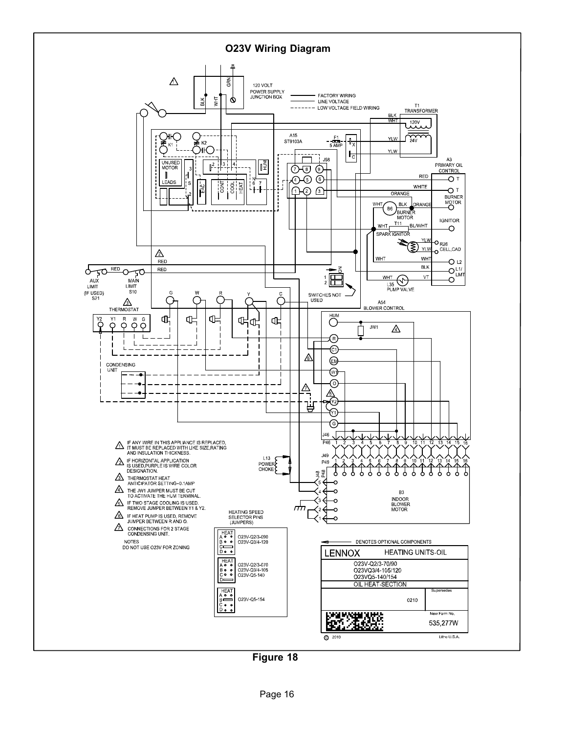<span id="page-15-0"></span>

Figure 18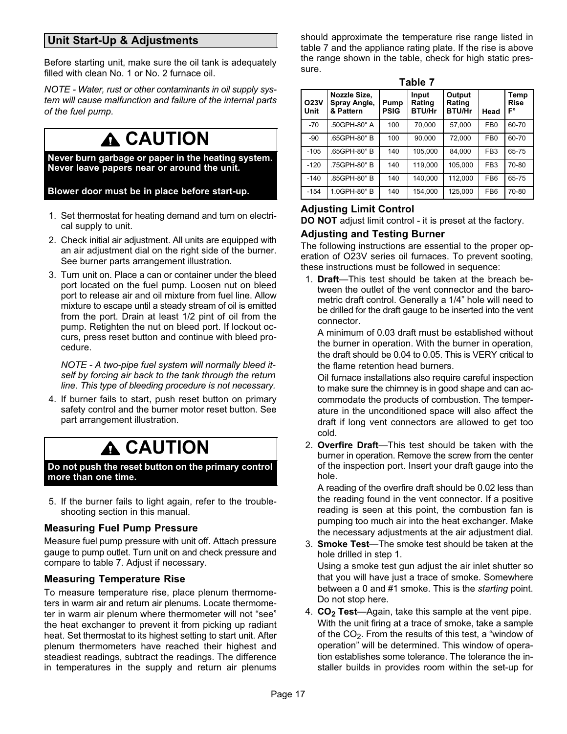### <span id="page-16-0"></span>Unit Start−Up & Adjustments

Before starting unit, make sure the oil tank is adequately filled with clean No. 1 or No. 2 furnace oil.

NOTE − Water, rust or other contaminants in oil supply system will cause malfunction and failure of the internal parts of the fuel pump.

## **A** CAUTION

Never burn garbage or paper in the heating system. Never leave papers near or around the unit.

Blower door must be in place before start−up.

- 1. Set thermostat for heating demand and turn on electrical supply to unit.
- 2. Check initial air adjustment. All units are equipped with an air adjustment dial on the right side of the burner. See burner parts arrangement illustration.
- 3. Turn unit on. Place a can or container under the bleed port located on the fuel pump. Loosen nut on bleed port to release air and oil mixture from fuel line. Allow mixture to escape until a steady stream of oil is emitted from the port. Drain at least 1/2 pint of oil from the pump. Retighten the nut on bleed port. If lockout occurs, press reset button and continue with bleed procedure.

NOTE − A two−pipe fuel system will normally bleed itself by forcing air back to the tank through the return line. This type of bleeding procedure is not necessary.

4. If burner fails to start, push reset button on primary safety control and the burner motor reset button. See part arrangement illustration.

# **A CAUTION**

Do not push the reset button on the primary control more than one time.

5. If the burner fails to light again, refer to the troubleshooting section in this manual.

#### Measuring Fuel Pump Pressure

Measure fuel pump pressure with unit off. Attach pressure gauge to pump outlet. Turn unit on and check pressure and compare to table 7. Adjust if necessary.

#### Measuring Temperature Rise

To measure temperature rise, place plenum thermometers in warm air and return air plenums. Locate thermometer in warm air plenum where thermometer will not "see" the heat exchanger to prevent it from picking up radiant heat. Set thermostat to its highest setting to start unit. After plenum thermometers have reached their highest and steadiest readings, subtract the readings. The difference in temperatures in the supply and return air plenums should approximate the temperature rise range listed in table 7 and the appliance rating plate. If the rise is above the range shown in the table, check for high static pressure.

| . .<br>۰.<br>×<br>×<br>۰. |  | u. |  |  |
|---------------------------|--|----|--|--|
|---------------------------|--|----|--|--|

| <b>O23V</b><br>Unit | Nozzle Size,<br>Spray Angle,<br>& Pattern | Pump<br><b>PSIG</b> | Input<br>Rating<br><b>BTU/Hr</b> | Output<br>Rating<br><b>BTU/Hr</b> | Head            | Temp<br><b>Rise</b><br>F° |
|---------------------|-------------------------------------------|---------------------|----------------------------------|-----------------------------------|-----------------|---------------------------|
| $-70$               | .50GPH-80° A                              | 100                 | 70.000                           | 57,000                            | FB <sub>0</sub> | 60-70                     |
| $-90$               | .65GPH-80° B                              | 100                 | 90.000                           | 72.000                            | FB <sub>0</sub> | 60-70                     |
| $-105$              | .65GPH-80° B                              | 140                 | 105.000                          | 84.000                            | FB <sub>3</sub> | 65-75                     |
| $-120$              | .75GPH-80°B                               | 140                 | 119,000                          | 105.000                           | FB <sub>3</sub> | 70-80                     |
| $-140$              | .85GPH-80° B                              | 140                 | 140,000                          | 112,000                           | FB <sub>6</sub> | 65-75                     |
| $-154$              | 1.0GPH-80°B                               | 140                 | 154.000                          | 125,000                           | FB <sub>6</sub> | 70-80                     |

#### Adjusting Limit Control

DO NOT adjust limit control - it is preset at the factory.

#### Adjusting and Testing Burner

The following instructions are essential to the proper operation of O23V series oil furnaces. To prevent sooting, these instructions must be followed in sequence:

1. Draft-This test should be taken at the breach between the outlet of the vent connector and the barometric draft control. Generally a 1/4" hole will need to be drilled for the draft gauge to be inserted into the vent connector.

A minimum of 0.03 draft must be established without the burner in operation. With the burner in operation, the draft should be 0.04 to 0.05. This is VERY critical to the flame retention head burners.

Oil furnace installations also require careful inspection to make sure the chimney is in good shape and can accommodate the products of combustion. The temperature in the unconditioned space will also affect the draft if long vent connectors are allowed to get too cold.

2. Overfire Draft—This test should be taken with the burner in operation. Remove the screw from the center of the inspection port. Insert your draft gauge into the hole.

A reading of the overfire draft should be 0.02 less than the reading found in the vent connector. If a positive reading is seen at this point, the combustion fan is pumping too much air into the heat exchanger. Make the necessary adjustments at the air adjustment dial.

- 3. Smoke Test-The smoke test should be taken at the hole drilled in step 1. Using a smoke test gun adjust the air inlet shutter so that you will have just a trace of smoke. Somewhere between a 0 and #1 smoke. This is the starting point. Do not stop here.
- 4.  $CO<sub>2</sub> Test—Again, take this sample at the vent pipe.$ With the unit firing at a trace of smoke, take a sample of the  $\mathrm{CO}_2$ . From the results of this test, a "window of operation" will be determined. This window of operation establishes some tolerance. The tolerance the installer builds in provides room within the set-up for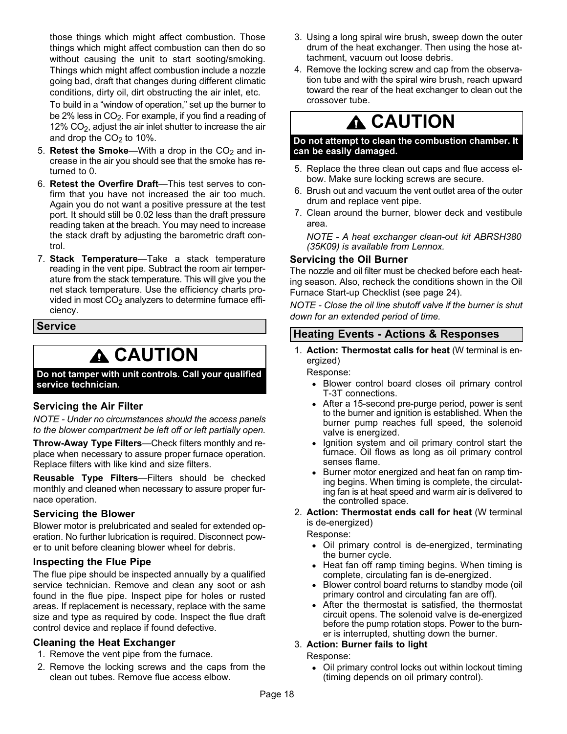<span id="page-17-0"></span>those things which might affect combustion. Those things which might affect combustion can then do so without causing the unit to start sooting/smoking. Things which might affect combustion include a nozzle going bad, draft that changes during different climatic conditions, dirty oil, dirt obstructing the air inlet, etc.

To build in a "window of operation," set up the burner to be 2% less in  $CO<sub>2</sub>$ . For example, if you find a reading of 12%  $CO<sub>2</sub>$ , adjust the air inlet shutter to increase the air and drop the  $CO<sub>2</sub>$  to 10%.

- 5. Retest the Smoke-With a drop in the  $CO<sub>2</sub>$  and increase in the air you should see that the smoke has returned to 0.
- 6. Retest the Overfire Draft-This test serves to confirm that you have not increased the air too much. Again you do not want a positive pressure at the test port. It should still be 0.02 less than the draft pressure reading taken at the breach. You may need to increase the stack draft by adjusting the barometric draft control.
- 7. Stack Temperature-Take a stack temperature reading in the vent pipe. Subtract the room air temperature from the stack temperature. This will give you the net stack temperature. Use the efficiency charts provided in most CO<sub>2</sub> analyzers to determine furnace efficiency.

#### Service

## **A** CAUTION

Do not tamper with unit controls. Call your qualified service technician.

#### Servicing the Air Filter

NOTE − Under no circumstances should the access panels to the blower compartment be left off or left partially open.

Throw-Away Type Filters-Check filters monthly and replace when necessary to assure proper furnace operation. Replace filters with like kind and size filters.

Reusable Type Filters-Filters should be checked monthly and cleaned when necessary to assure proper furnace operation.

#### Servicing the Blower

Blower motor is prelubricated and sealed for extended operation. No further lubrication is required. Disconnect power to unit before cleaning blower wheel for debris.

#### Inspecting the Flue Pipe

The flue pipe should be inspected annually by a qualified service technician. Remove and clean any soot or ash found in the flue pipe. Inspect pipe for holes or rusted areas. If replacement is necessary, replace with the same size and type as required by code. Inspect the flue draft control device and replace if found defective.

#### Cleaning the Heat Exchanger

- 1. Remove the vent pipe from the furnace.
- 2. Remove the locking screws and the caps from the clean out tubes. Remove flue access elbow.
- 3. Using a long spiral wire brush, sweep down the outer drum of the heat exchanger. Then using the hose attachment, vacuum out loose debris.
- 4. Remove the locking screw and cap from the observation tube and with the spiral wire brush, reach upward toward the rear of the heat exchanger to clean out the crossover tube.

## **A CAUTION**

#### Do not attempt to clean the combustion chamber. It can be easily damaged.

- 5. Replace the three clean out caps and flue access elbow. Make sure locking screws are secure.
- 6. Brush out and vacuum the vent outlet area of the outer drum and replace vent pipe.
- 7. Clean around the burner, blower deck and vestibule area.

NOTE − A heat exchanger clean-out kit ABRSH380 (35K09) is available from Lennox.

#### Servicing the Oil Burner

The nozzle and oil filter must be checked before each heating season. Also, recheck the conditions shown in the Oil Furnace Start−up Checklist (see page [24](#page-23-0)).

NOTE − Close the oil line shutoff valve if the burner is shut down for an extended period of time.

### Heating Events − Actions & Responses

1. Action: Thermostat calls for heat (W terminal is energized)

Response:

- Blower control board closes oil primary control T−3T connections.
- After a 15−second pre−purge period, power is sent to the burner and ignition is established. When the burner pump reaches full speed, the solenoid valve is energized.
- Ignition system and oil primary control start the furnace. Oil flows as long as oil primary control senses flame.
- Burner motor energized and heat fan on ramp timing begins. When timing is complete, the circulating fan is at heat speed and warm air is delivered to the controlled space.
- 2. Action: Thermostat ends call for heat (W terminal is de−energized)

Response:

- Oil primary control is de−energized, terminating the burner cycle.
- Heat fan off ramp timing begins. When timing is complete, circulating fan is de−energized.
- $\bullet$  Blower control board returns to standby mode (oil primary control and circulating fan are off).
- After the thermostat is satisfied, the thermostat circuit opens. The solenoid valve is de−energized before the pump rotation stops. Power to the burner is interrupted, shutting down the burner.

#### 3. Action: Burner fails to light

Response:

 Oil primary control locks out within lockout timing (timing depends on oil primary control).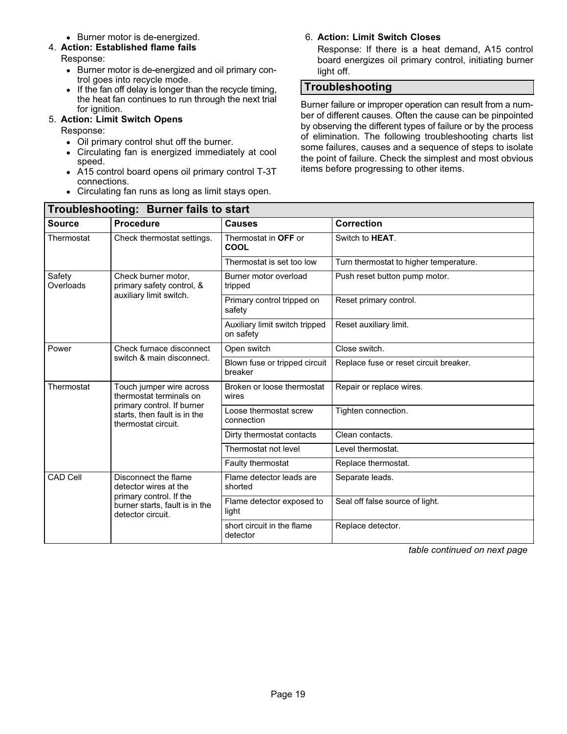● Burner motor is de-energized.

### <span id="page-18-0"></span>4. Action: Established flame fails

#### Response:

- Burner motor is de-energized and oil primary control goes into recycle mode.
- If the fan off delay is longer than the recycle timing, the heat fan continues to run through the next trial for ignition.

### 5. Action: Limit Switch Opens

Response:

- Oil primary control shut off the burner.
- Circulating fan is energized immediately at cool speed.
- A15 control board opens oil primary control T−3T connections.
- Circulating fan runs as long as limit stays open.

### 6. Action: Limit Switch Closes

Response: If there is a heat demand, A15 control board energizes oil primary control, initiating burner light off.

### Troubleshooting

Burner failure or improper operation can result from a number of different causes. Often the cause can be pinpointed by observing the different types of failure or by the process of elimination. The following troubleshooting charts list some failures, causes and a sequence of steps to isolate the point of failure. Check the simplest and most obvious items before progressing to other items.

| Troubleshooting: Burner fails to start |                                                                                   |                                             |                                        |  |  |  |  |
|----------------------------------------|-----------------------------------------------------------------------------------|---------------------------------------------|----------------------------------------|--|--|--|--|
| <b>Source</b>                          | <b>Procedure</b>                                                                  | <b>Causes</b>                               | <b>Correction</b>                      |  |  |  |  |
| Thermostat                             | Check thermostat settings.                                                        | Thermostat in OFF or<br>COOL                | Switch to <b>HEAT</b> .                |  |  |  |  |
|                                        |                                                                                   | Thermostat is set too low                   | Turn thermostat to higher temperature. |  |  |  |  |
| Safety<br>Overloads                    | Check burner motor,<br>primary safety control, &                                  | Burner motor overload<br>tripped            | Push reset button pump motor.          |  |  |  |  |
|                                        | auxiliary limit switch.                                                           | Primary control tripped on<br>safety        | Reset primary control.                 |  |  |  |  |
|                                        |                                                                                   | Auxiliary limit switch tripped<br>on safety | Reset auxiliary limit.                 |  |  |  |  |
| Power                                  | Check furnace disconnect                                                          | Open switch                                 | Close switch.                          |  |  |  |  |
|                                        | switch & main disconnect.                                                         | Blown fuse or tripped circuit<br>breaker    | Replace fuse or reset circuit breaker. |  |  |  |  |
| Thermostat                             | Touch jumper wire across<br>thermostat terminals on                               | Broken or loose thermostat<br>wires         | Repair or replace wires.               |  |  |  |  |
|                                        | primary control. If burner<br>starts, then fault is in the<br>thermostat circuit. | Loose thermostat screw<br>connection        | Tighten connection.                    |  |  |  |  |
|                                        |                                                                                   | Dirty thermostat contacts                   | Clean contacts.                        |  |  |  |  |
|                                        |                                                                                   | Thermostat not level                        | Level thermostat.                      |  |  |  |  |
|                                        |                                                                                   | Faulty thermostat                           | Replace thermostat.                    |  |  |  |  |
| <b>CAD Cell</b>                        | Disconnect the flame<br>detector wires at the                                     | Flame detector leads are<br>shorted         | Separate leads.                        |  |  |  |  |
|                                        | primary control. If the<br>burner starts, fault is in the<br>detector circuit.    | Flame detector exposed to<br>light          | Seal off false source of light.        |  |  |  |  |
|                                        |                                                                                   | short circuit in the flame<br>detector      | Replace detector.                      |  |  |  |  |

table continued on next page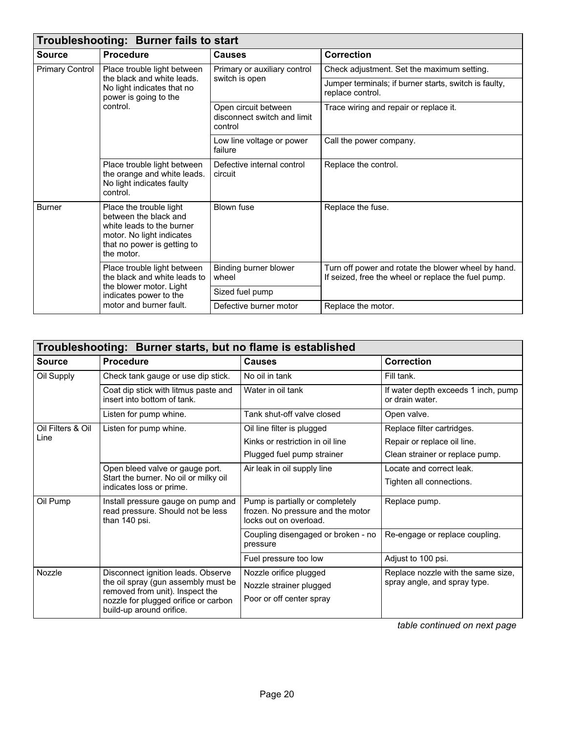| Troubleshooting: Burner fails to start |                                                                                                                                                         |                                                                |                                                                                                            |  |
|----------------------------------------|---------------------------------------------------------------------------------------------------------------------------------------------------------|----------------------------------------------------------------|------------------------------------------------------------------------------------------------------------|--|
| <b>Source</b>                          | <b>Procedure</b>                                                                                                                                        | <b>Causes</b>                                                  | <b>Correction</b>                                                                                          |  |
| <b>Primary Control</b>                 | Place trouble light between<br>the black and white leads.<br>No light indicates that no<br>power is going to the<br>control.                            | Primary or auxiliary control<br>switch is open                 | Check adjustment. Set the maximum setting.                                                                 |  |
|                                        |                                                                                                                                                         |                                                                | Jumper terminals; if burner starts, switch is faulty,<br>replace control.                                  |  |
|                                        |                                                                                                                                                         | Open circuit between<br>disconnect switch and limit<br>control | Trace wiring and repair or replace it.                                                                     |  |
|                                        |                                                                                                                                                         | Low line voltage or power<br>failure                           | Call the power company.                                                                                    |  |
|                                        | Place trouble light between<br>the orange and white leads.<br>No light indicates faulty<br>control.                                                     | Defective internal control<br>circuit                          | Replace the control.                                                                                       |  |
| <b>Burner</b>                          | Place the trouble light<br>between the black and<br>white leads to the burner<br>motor. No light indicates<br>that no power is getting to<br>the motor. | <b>Blown fuse</b>                                              | Replace the fuse.                                                                                          |  |
|                                        | Place trouble light between<br>the black and white leads to<br>the blower motor. Light<br>indicates power to the<br>motor and burner fault.             | Binding burner blower<br>wheel                                 | Turn off power and rotate the blower wheel by hand.<br>If seized, free the wheel or replace the fuel pump. |  |
|                                        |                                                                                                                                                         | Sized fuel pump                                                |                                                                                                            |  |
|                                        |                                                                                                                                                         | Defective burner motor                                         | Replace the motor.                                                                                         |  |

| Troubleshooting: Burner starts, but no flame is established |                                                                                          |                                                                                                |                                                        |  |
|-------------------------------------------------------------|------------------------------------------------------------------------------------------|------------------------------------------------------------------------------------------------|--------------------------------------------------------|--|
| <b>Source</b>                                               | <b>Procedure</b>                                                                         | <b>Causes</b>                                                                                  | <b>Correction</b>                                      |  |
| Oil Supply                                                  | Check tank gauge or use dip stick.                                                       | No oil in tank                                                                                 | Fill tank.                                             |  |
|                                                             | Coat dip stick with litmus paste and<br>insert into bottom of tank.                      | Water in oil tank                                                                              | If water depth exceeds 1 inch, pump<br>or drain water. |  |
|                                                             | Listen for pump whine.                                                                   | Tank shut-off valve closed                                                                     | Open valve.                                            |  |
| Oil Filters & Oil                                           | Listen for pump whine.                                                                   | Oil line filter is plugged                                                                     | Replace filter cartridges.                             |  |
| Line                                                        |                                                                                          | Kinks or restriction in oil line                                                               | Repair or replace oil line.                            |  |
|                                                             |                                                                                          | Plugged fuel pump strainer                                                                     | Clean strainer or replace pump.                        |  |
|                                                             | Open bleed valve or gauge port.                                                          | Air leak in oil supply line                                                                    | Locate and correct leak.                               |  |
|                                                             | Start the burner. No oil or milky oil<br>indicates loss or prime.                        |                                                                                                | Tighten all connections.                               |  |
| Oil Pump                                                    | Install pressure gauge on pump and<br>read pressure. Should not be less<br>than 140 psi. | Pump is partially or completely<br>frozen. No pressure and the motor<br>locks out on overload. | Replace pump.                                          |  |
|                                                             |                                                                                          | Coupling disengaged or broken - no<br>pressure                                                 | Re-engage or replace coupling.                         |  |
|                                                             |                                                                                          | Fuel pressure too low                                                                          | Adjust to 100 psi.                                     |  |
| Nozzle                                                      | Disconnect ignition leads. Observe                                                       | Nozzle orifice plugged                                                                         | Replace nozzle with the same size,                     |  |
|                                                             | the oil spray (gun assembly must be<br>removed from unit). Inspect the                   | Nozzle strainer plugged                                                                        | spray angle, and spray type.                           |  |
|                                                             | nozzle for plugged orifice or carbon<br>build-up around orifice.                         | Poor or off center spray                                                                       |                                                        |  |

table continued on next page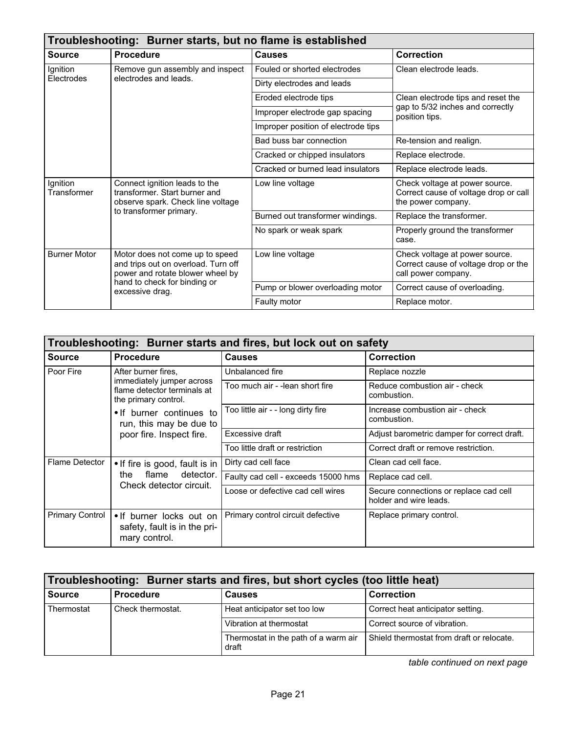| Troubleshooting: Burner starts, but no flame is established |                                                                                                                                                               |                                     |                                                                                               |  |
|-------------------------------------------------------------|---------------------------------------------------------------------------------------------------------------------------------------------------------------|-------------------------------------|-----------------------------------------------------------------------------------------------|--|
| Source                                                      | <b>Procedure</b>                                                                                                                                              | <b>Causes</b>                       | Correction                                                                                    |  |
| Ignition                                                    | Remove gun assembly and inspect                                                                                                                               | Fouled or shorted electrodes        | Clean electrode leads.                                                                        |  |
| Electrodes                                                  | electrodes and leads.                                                                                                                                         | Dirty electrodes and leads          |                                                                                               |  |
|                                                             |                                                                                                                                                               | Eroded electrode tips               | Clean electrode tips and reset the                                                            |  |
|                                                             |                                                                                                                                                               | Improper electrode gap spacing      | gap to 5/32 inches and correctly<br>position tips.                                            |  |
|                                                             |                                                                                                                                                               | Improper position of electrode tips |                                                                                               |  |
|                                                             |                                                                                                                                                               | Bad buss bar connection             | Re-tension and realign.                                                                       |  |
|                                                             |                                                                                                                                                               | Cracked or chipped insulators       | Replace electrode.                                                                            |  |
|                                                             |                                                                                                                                                               | Cracked or burned lead insulators   | Replace electrode leads.                                                                      |  |
| Ignition<br>Transformer                                     | Connect ignition leads to the<br>transformer. Start burner and<br>observe spark. Check line voltage<br>to transformer primary.                                | Low line voltage                    | Check voltage at power source.<br>Correct cause of voltage drop or call<br>the power company. |  |
|                                                             |                                                                                                                                                               | Burned out transformer windings.    | Replace the transformer.                                                                      |  |
|                                                             |                                                                                                                                                               | No spark or weak spark              | Properly ground the transformer<br>case.                                                      |  |
| <b>Burner Motor</b>                                         | Motor does not come up to speed<br>and trips out on overload. Turn off<br>power and rotate blower wheel by<br>hand to check for binding or<br>excessive drag. | Low line voltage                    | Check voltage at power source.<br>Correct cause of voltage drop or the<br>call power company. |  |
|                                                             |                                                                                                                                                               | Pump or blower overloading motor    | Correct cause of overloading.                                                                 |  |
|                                                             |                                                                                                                                                               | Faulty motor                        | Replace motor.                                                                                |  |

| Troubleshooting: Burner starts and fires, but lock out on safety |                                                                                                         |                                     |                                                                  |
|------------------------------------------------------------------|---------------------------------------------------------------------------------------------------------|-------------------------------------|------------------------------------------------------------------|
| Source                                                           | <b>Procedure</b>                                                                                        | <b>Causes</b>                       | <b>Correction</b>                                                |
| Poor Fire                                                        | After burner fires,<br>immediately jumper across<br>flame detector terminals at<br>the primary control. | Unbalanced fire                     | Replace nozzle                                                   |
|                                                                  |                                                                                                         | Too much air - -lean short fire     | Reduce combustion air - check<br>combustion.                     |
|                                                                  | • If burner continues to<br>run, this may be due to<br>poor fire. Inspect fire.                         | Too little air - - long dirty fire  | Increase combustion air - check<br>combustion.                   |
|                                                                  |                                                                                                         | Excessive draft                     | Adjust barometric damper for correct draft.                      |
|                                                                  |                                                                                                         | Too little draft or restriction     | Correct draft or remove restriction.                             |
| Flame Detector                                                   | • If fire is good, fault is in<br>flame<br>detector.<br>the.<br>Check detector circuit.                 | Dirty cad cell face                 | Clean cad cell face.                                             |
|                                                                  |                                                                                                         | Faulty cad cell - exceeds 15000 hms | Replace cad cell.                                                |
|                                                                  |                                                                                                         | Loose or defective cad cell wires   | Secure connections or replace cad cell<br>holder and wire leads. |
| <b>Primary Control</b>                                           | • If burner locks out on<br>safety, fault is in the pri-<br>mary control.                               | Primary control circuit defective   | Replace primary control.                                         |

| Troubleshooting: Burner starts and fires, but short cycles (too little heat) |                   |                                               |                                           |  |
|------------------------------------------------------------------------------|-------------------|-----------------------------------------------|-------------------------------------------|--|
| <b>Source</b>                                                                | <b>Procedure</b>  | <b>Causes</b>                                 | <b>Correction</b>                         |  |
| Thermostat                                                                   | Check thermostat. | Heat anticipator set too low                  | Correct heat anticipator setting.         |  |
|                                                                              |                   | Vibration at thermostat                       | Correct source of vibration.              |  |
|                                                                              |                   | Thermostat in the path of a warm air<br>draft | Shield thermostat from draft or relocate. |  |

table continued on next page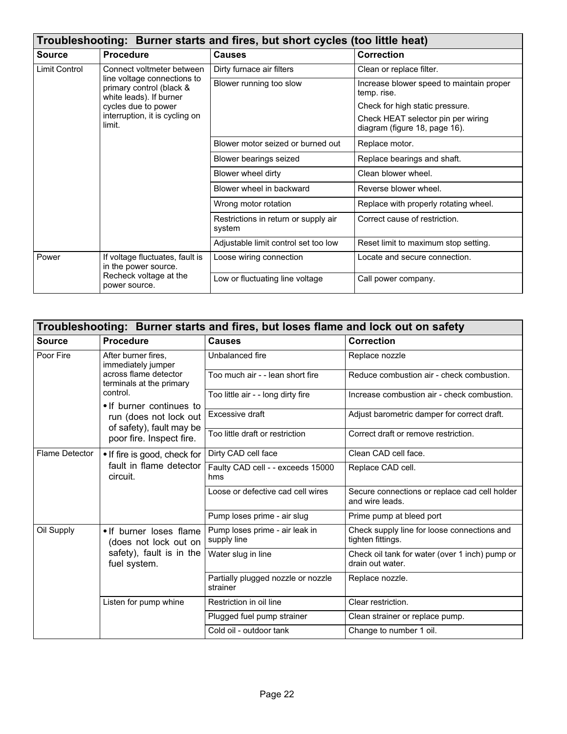| Troubleshooting: Burner starts and fires, but short cycles (too little heat) |                                                                                                                 |                                                |                                                                     |  |
|------------------------------------------------------------------------------|-----------------------------------------------------------------------------------------------------------------|------------------------------------------------|---------------------------------------------------------------------|--|
| <b>Source</b>                                                                | <b>Procedure</b>                                                                                                | <b>Causes</b>                                  | <b>Correction</b>                                                   |  |
| Limit Control                                                                | Connect voltmeter between<br>line voltage connections to<br>primary control (black &<br>white leads). If burner | Dirty furnace air filters                      | Clean or replace filter.                                            |  |
|                                                                              |                                                                                                                 | Blower running too slow                        | Increase blower speed to maintain proper<br>temp. rise.             |  |
|                                                                              | cycles due to power                                                                                             |                                                | Check for high static pressure.                                     |  |
|                                                                              | interruption, it is cycling on<br>limit.                                                                        |                                                | Check HEAT selector pin per wiring<br>diagram (figure 18, page 16). |  |
|                                                                              |                                                                                                                 | Blower motor seized or burned out              | Replace motor.                                                      |  |
|                                                                              |                                                                                                                 | Blower bearings seized                         | Replace bearings and shaft.                                         |  |
|                                                                              |                                                                                                                 | Blower wheel dirty                             | Clean blower wheel.                                                 |  |
|                                                                              |                                                                                                                 | Blower wheel in backward                       | Reverse blower wheel.                                               |  |
|                                                                              |                                                                                                                 | Wrong motor rotation                           | Replace with properly rotating wheel.                               |  |
|                                                                              |                                                                                                                 | Restrictions in return or supply air<br>system | Correct cause of restriction.                                       |  |
|                                                                              |                                                                                                                 | Adjustable limit control set too low           | Reset limit to maximum stop setting.                                |  |
| Power                                                                        | If voltage fluctuates, fault is<br>in the power source.<br>Recheck voltage at the<br>power source.              | Loose wiring connection                        | Locate and secure connection.                                       |  |
|                                                                              |                                                                                                                 | Low or fluctuating line voltage                | Call power company.                                                 |  |

| Troubleshooting: Burner starts and fires, but loses flame and lock out on safety |                                                                                                |                                                |                                                                    |  |
|----------------------------------------------------------------------------------|------------------------------------------------------------------------------------------------|------------------------------------------------|--------------------------------------------------------------------|--|
| <b>Source</b>                                                                    | <b>Procedure</b>                                                                               | <b>Causes</b>                                  | Correction                                                         |  |
| Poor Fire                                                                        | After burner fires,<br>immediately jumper<br>across flame detector<br>terminals at the primary | Unbalanced fire                                | Replace nozzle                                                     |  |
|                                                                                  |                                                                                                | Too much air - - lean short fire               | Reduce combustion air - check combustion.                          |  |
|                                                                                  | control.<br>• If burner continues to                                                           | Too little air - - long dirty fire             | Increase combustion air - check combustion.                        |  |
|                                                                                  | run (does not lock out                                                                         | Excessive draft                                | Adjust barometric damper for correct draft.                        |  |
|                                                                                  | of safety), fault may be<br>poor fire. Inspect fire.                                           | Too little draft or restriction                | Correct draft or remove restriction.                               |  |
| <b>Flame Detector</b>                                                            | . If fire is good, check for<br>fault in flame detector<br>circuit.                            | Dirty CAD cell face                            | Clean CAD cell face.                                               |  |
|                                                                                  |                                                                                                | Faulty CAD cell - - exceeds 15000<br>hms       | Replace CAD cell.                                                  |  |
|                                                                                  |                                                                                                | Loose or defective cad cell wires              | Secure connections or replace cad cell holder<br>and wire leads.   |  |
|                                                                                  |                                                                                                | Pump loses prime - air slug                    | Prime pump at bleed port                                           |  |
| Oil Supply                                                                       | • If burner loses flame<br>(does not lock out on<br>safety), fault is in the<br>fuel system.   | Pump loses prime - air leak in<br>supply line  | Check supply line for loose connections and<br>tighten fittings.   |  |
|                                                                                  |                                                                                                | Water slug in line                             | Check oil tank for water (over 1 inch) pump or<br>drain out water. |  |
|                                                                                  |                                                                                                | Partially plugged nozzle or nozzle<br>strainer | Replace nozzle.                                                    |  |
|                                                                                  | Listen for pump whine                                                                          | Restriction in oil line                        | Clear restriction.                                                 |  |
|                                                                                  |                                                                                                | Plugged fuel pump strainer                     | Clean strainer or replace pump.                                    |  |
|                                                                                  |                                                                                                | Cold oil - outdoor tank                        | Change to number 1 oil.                                            |  |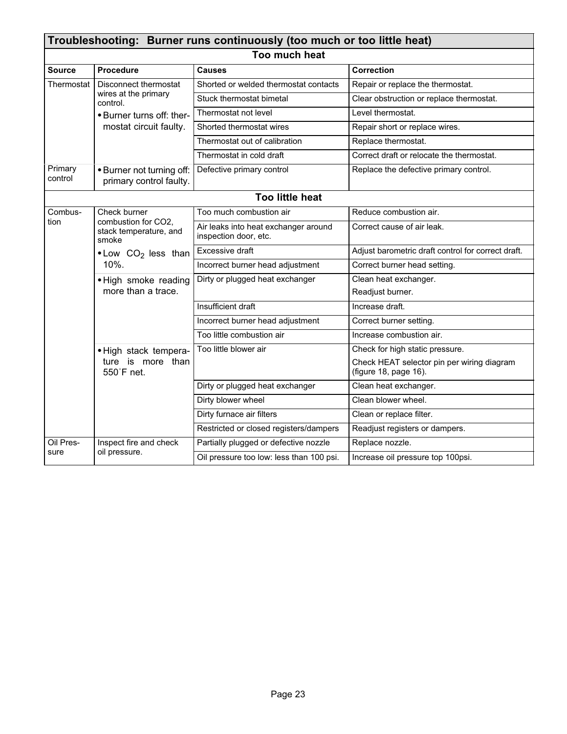| Troubleshooting: Burner runs continuously (too much or too little heat) |                                                                        |                                                               |                                                                     |  |  |
|-------------------------------------------------------------------------|------------------------------------------------------------------------|---------------------------------------------------------------|---------------------------------------------------------------------|--|--|
| Too much heat                                                           |                                                                        |                                                               |                                                                     |  |  |
| <b>Source</b>                                                           | <b>Procedure</b>                                                       | <b>Causes</b>                                                 | <b>Correction</b>                                                   |  |  |
| Thermostat                                                              | Disconnect thermostat                                                  | Shorted or welded thermostat contacts                         | Repair or replace the thermostat.                                   |  |  |
|                                                                         | wires at the primary<br>control.                                       | Stuck thermostat bimetal                                      | Clear obstruction or replace thermostat.                            |  |  |
|                                                                         | • Burner turns off: ther-                                              | Thermostat not level                                          | Level thermostat.                                                   |  |  |
|                                                                         | mostat circuit faulty.                                                 | Shorted thermostat wires                                      | Repair short or replace wires.                                      |  |  |
|                                                                         |                                                                        | Thermostat out of calibration                                 | Replace thermostat.                                                 |  |  |
|                                                                         |                                                                        | Thermostat in cold draft                                      | Correct draft or relocate the thermostat.                           |  |  |
| Primary<br>control                                                      | • Burner not turning off:<br>primary control faulty.                   | Defective primary control                                     | Replace the defective primary control.                              |  |  |
|                                                                         |                                                                        | <b>Too little heat</b>                                        |                                                                     |  |  |
| Combus-                                                                 | Check burner<br>combustion for CO2,<br>stack temperature, and<br>smoke | Too much combustion air                                       | Reduce combustion air.                                              |  |  |
| tion                                                                    |                                                                        | Air leaks into heat exchanger around<br>inspection door, etc. | Correct cause of air leak.                                          |  |  |
|                                                                         | $\bullet$ Low CO <sub>2</sub> less than<br>10%.                        | Excessive draft                                               | Adjust barometric draft control for correct draft.                  |  |  |
|                                                                         |                                                                        | Incorrect burner head adjustment                              | Correct burner head setting.                                        |  |  |
|                                                                         | • High smoke reading                                                   | Dirty or plugged heat exchanger                               | Clean heat exchanger.                                               |  |  |
|                                                                         | more than a trace.                                                     |                                                               | Readjust burner.                                                    |  |  |
|                                                                         |                                                                        | Insufficient draft                                            | Increase draft.                                                     |  |  |
|                                                                         |                                                                        | Incorrect burner head adjustment                              | Correct burner setting.                                             |  |  |
|                                                                         |                                                                        | Too little combustion air                                     | Increase combustion air.                                            |  |  |
|                                                                         | · High stack tempera-<br>ture is more than<br>550°F net.               | Too little blower air                                         | Check for high static pressure.                                     |  |  |
|                                                                         |                                                                        |                                                               | Check HEAT selector pin per wiring diagram<br>(figure 18, page 16). |  |  |
|                                                                         |                                                                        | Dirty or plugged heat exchanger                               | Clean heat exchanger.                                               |  |  |
|                                                                         |                                                                        | Dirty blower wheel                                            | Clean blower wheel.                                                 |  |  |
|                                                                         |                                                                        | Dirty furnace air filters                                     | Clean or replace filter.                                            |  |  |
|                                                                         |                                                                        | Restricted or closed registers/dampers                        | Readjust registers or dampers.                                      |  |  |
| Oil Pres-                                                               | Inspect fire and check                                                 | Partially plugged or defective nozzle                         | Replace nozzle.                                                     |  |  |
| sure                                                                    | oil pressure.                                                          | Oil pressure too low: less than 100 psi.                      | Increase oil pressure top 100psi.                                   |  |  |